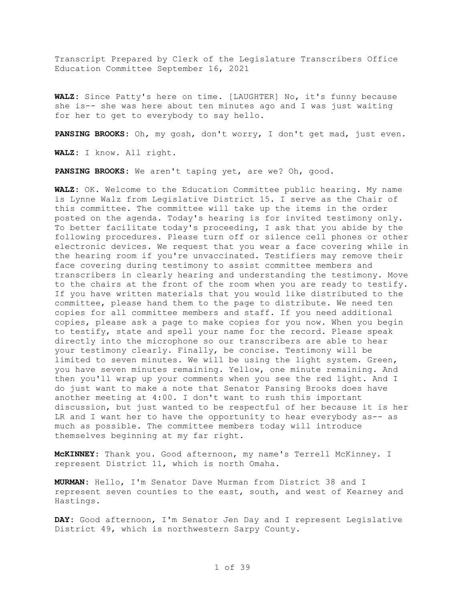Transcript Prepared by Clerk of the Legislature Transcribers Office Education Committee September 16, 2021

**WALZ:** Since Patty's here on time. [LAUGHTER] No, it's funny because she is-- she was here about ten minutes ago and I was just waiting for her to get to everybody to say hello.

**PANSING BROOKS:** Oh, my gosh, don't worry, I don't get mad, just even.

**WALZ:** I know. All right.

**PANSING BROOKS:** We aren't taping yet, are we? Oh, good.

**WALZ:** OK. Welcome to the Education Committee public hearing. My name is Lynne Walz from Legislative District 15. I serve as the Chair of this committee. The committee will take up the items in the order posted on the agenda. Today's hearing is for invited testimony only. To better facilitate today's proceeding, I ask that you abide by the following procedures. Please turn off or silence cell phones or other electronic devices. We request that you wear a face covering while in the hearing room if you're unvaccinated. Testifiers may remove their face covering during testimony to assist committee members and transcribers in clearly hearing and understanding the testimony. Move to the chairs at the front of the room when you are ready to testify. If you have written materials that you would like distributed to the committee, please hand them to the page to distribute. We need ten copies for all committee members and staff. If you need additional copies, please ask a page to make copies for you now. When you begin to testify, state and spell your name for the record. Please speak directly into the microphone so our transcribers are able to hear your testimony clearly. Finally, be concise. Testimony will be limited to seven minutes. We will be using the light system. Green, you have seven minutes remaining. Yellow, one minute remaining. And then you'll wrap up your comments when you see the red light. And I do just want to make a note that Senator Pansing Brooks does have another meeting at 4:00. I don't want to rush this important discussion, but just wanted to be respectful of her because it is her LR and I want her to have the opportunity to hear everybody as-- as much as possible. The committee members today will introduce themselves beginning at my far right.

**McKINNEY:** Thank you. Good afternoon, my name's Terrell McKinney. I represent District 11, which is north Omaha.

**MURMAN:** Hello, I'm Senator Dave Murman from District 38 and I represent seven counties to the east, south, and west of Kearney and Hastings.

**DAY:** Good afternoon, I'm Senator Jen Day and I represent Legislative District 49, which is northwestern Sarpy County.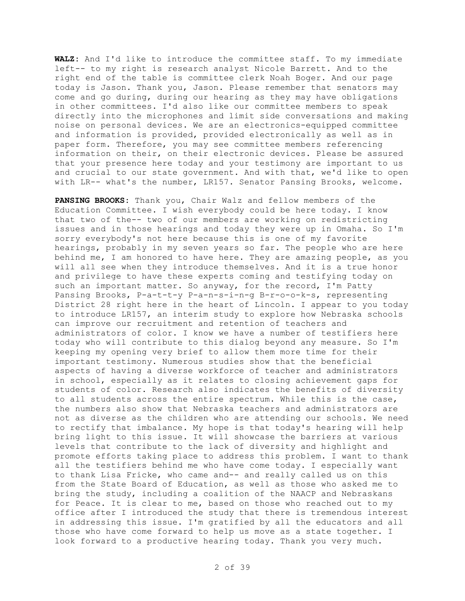**WALZ:** And I'd like to introduce the committee staff. To my immediate left-- to my right is research analyst Nicole Barrett. And to the right end of the table is committee clerk Noah Boger. And our page today is Jason. Thank you, Jason. Please remember that senators may come and go during, during our hearing as they may have obligations in other committees. I'd also like our committee members to speak directly into the microphones and limit side conversations and making noise on personal devices. We are an electronics-equipped committee and information is provided, provided electronically as well as in paper form. Therefore, you may see committee members referencing information on their, on their electronic devices. Please be assured that your presence here today and your testimony are important to us and crucial to our state government. And with that, we'd like to open with LR-- what's the number, LR157. Senator Pansing Brooks, welcome.

**PANSING BROOKS:** Thank you, Chair Walz and fellow members of the Education Committee. I wish everybody could be here today. I know that two of the-- two of our members are working on redistricting issues and in those hearings and today they were up in Omaha. So I'm sorry everybody's not here because this is one of my favorite hearings, probably in my seven years so far. The people who are here behind me, I am honored to have here. They are amazing people, as you will all see when they introduce themselves. And it is a true honor and privilege to have these experts coming and testifying today on such an important matter. So anyway, for the record, I'm Patty Pansing Brooks, P-a-t-t-y P-a-n-s-i-n-g B-r-o-o-k-s, representing District 28 right here in the heart of Lincoln. I appear to you today to introduce LR157, an interim study to explore how Nebraska schools can improve our recruitment and retention of teachers and administrators of color. I know we have a number of testifiers here today who will contribute to this dialog beyond any measure. So I'm keeping my opening very brief to allow them more time for their important testimony. Numerous studies show that the beneficial aspects of having a diverse workforce of teacher and administrators in school, especially as it relates to closing achievement gaps for students of color. Research also indicates the benefits of diversity to all students across the entire spectrum. While this is the case, the numbers also show that Nebraska teachers and administrators are not as diverse as the children who are attending our schools. We need to rectify that imbalance. My hope is that today's hearing will help bring light to this issue. It will showcase the barriers at various levels that contribute to the lack of diversity and highlight and promote efforts taking place to address this problem. I want to thank all the testifiers behind me who have come today. I especially want to thank Lisa Fricke, who came and-- and really called us on this from the State Board of Education, as well as those who asked me to bring the study, including a coalition of the NAACP and Nebraskans for Peace. It is clear to me, based on those who reached out to my office after I introduced the study that there is tremendous interest in addressing this issue. I'm gratified by all the educators and all those who have come forward to help us move as a state together. I look forward to a productive hearing today. Thank you very much.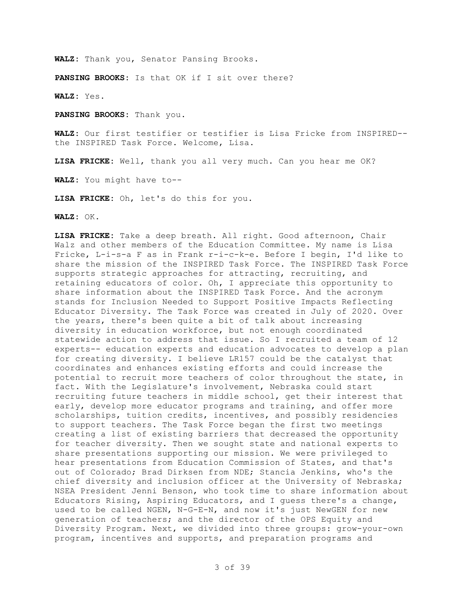**WALZ:** Thank you, Senator Pansing Brooks.

**PANSING BROOKS:** Is that OK if I sit over there?

**WALZ:** Yes.

**PANSING BROOKS:** Thank you.

**WALZ:** Our first testifier or testifier is Lisa Fricke from INSPIRED- the INSPIRED Task Force. Welcome, Lisa.

**LISA FRICKE:** Well, thank you all very much. Can you hear me OK?

**WALZ:** You might have to--

**LISA FRICKE:** Oh, let's do this for you.

**WALZ:** OK.

**LISA FRICKE:** Take a deep breath. All right. Good afternoon, Chair Walz and other members of the Education Committee. My name is Lisa Fricke, L-i-s-a F as in Frank r-i-c-k-e. Before I begin, I'd like to share the mission of the INSPIRED Task Force. The INSPIRED Task Force supports strategic approaches for attracting, recruiting, and retaining educators of color. Oh, I appreciate this opportunity to share information about the INSPIRED Task Force. And the acronym stands for Inclusion Needed to Support Positive Impacts Reflecting Educator Diversity. The Task Force was created in July of 2020. Over the years, there's been quite a bit of talk about increasing diversity in education workforce, but not enough coordinated statewide action to address that issue. So I recruited a team of 12 experts-- education experts and education advocates to develop a plan for creating diversity. I believe LR157 could be the catalyst that coordinates and enhances existing efforts and could increase the potential to recruit more teachers of color throughout the state, in fact. With the Legislature's involvement, Nebraska could start recruiting future teachers in middle school, get their interest that early, develop more educator programs and training, and offer more scholarships, tuition credits, incentives, and possibly residencies to support teachers. The Task Force began the first two meetings creating a list of existing barriers that decreased the opportunity for teacher diversity. Then we sought state and national experts to share presentations supporting our mission. We were privileged to hear presentations from Education Commission of States, and that's out of Colorado; Brad Dirksen from NDE; Stancia Jenkins, who's the chief diversity and inclusion officer at the University of Nebraska; NSEA President Jenni Benson, who took time to share information about Educators Rising, Aspiring Educators, and I guess there's a change, used to be called NGEN, N-G-E-N, and now it's just NewGEN for new generation of teachers; and the director of the OPS Equity and Diversity Program. Next, we divided into three groups: grow-your-own program, incentives and supports, and preparation programs and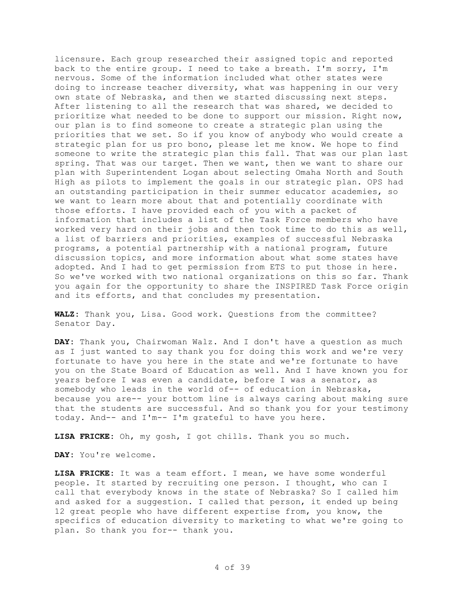licensure. Each group researched their assigned topic and reported back to the entire group. I need to take a breath. I'm sorry, I'm nervous. Some of the information included what other states were doing to increase teacher diversity, what was happening in our very own state of Nebraska, and then we started discussing next steps. After listening to all the research that was shared, we decided to prioritize what needed to be done to support our mission. Right now, our plan is to find someone to create a strategic plan using the priorities that we set. So if you know of anybody who would create a strategic plan for us pro bono, please let me know. We hope to find someone to write the strategic plan this fall. That was our plan last spring. That was our target. Then we want, then we want to share our plan with Superintendent Logan about selecting Omaha North and South High as pilots to implement the goals in our strategic plan. OPS had an outstanding participation in their summer educator academies, so we want to learn more about that and potentially coordinate with those efforts. I have provided each of you with a packet of information that includes a list of the Task Force members who have worked very hard on their jobs and then took time to do this as well, a list of barriers and priorities, examples of successful Nebraska programs, a potential partnership with a national program, future discussion topics, and more information about what some states have adopted. And I had to get permission from ETS to put those in here. So we've worked with two national organizations on this so far. Thank you again for the opportunity to share the INSPIRED Task Force origin and its efforts, and that concludes my presentation.

**WALZ:** Thank you, Lisa. Good work. Questions from the committee? Senator Day.

**DAY:** Thank you, Chairwoman Walz. And I don't have a question as much as I just wanted to say thank you for doing this work and we're very fortunate to have you here in the state and we're fortunate to have you on the State Board of Education as well. And I have known you for years before I was even a candidate, before I was a senator, as somebody who leads in the world of-- of education in Nebraska, because you are-- your bottom line is always caring about making sure that the students are successful. And so thank you for your testimony today. And-- and I'm-- I'm grateful to have you here.

**LISA FRICKE:** Oh, my gosh, I got chills. Thank you so much.

**DAY:** You're welcome.

**LISA FRICKE:** It was a team effort. I mean, we have some wonderful people. It started by recruiting one person. I thought, who can I call that everybody knows in the state of Nebraska? So I called him and asked for a suggestion. I called that person, it ended up being 12 great people who have different expertise from, you know, the specifics of education diversity to marketing to what we're going to plan. So thank you for-- thank you.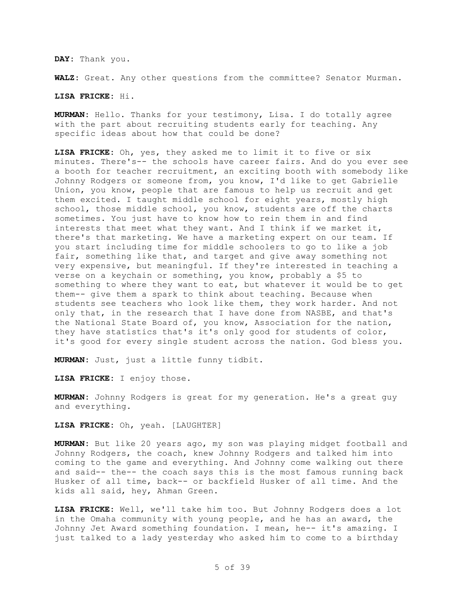**DAY:** Thank you.

**WALZ:** Great. Any other questions from the committee? Senator Murman.

**LISA FRICKE:** Hi.

**MURMAN:** Hello. Thanks for your testimony, Lisa. I do totally agree with the part about recruiting students early for teaching. Any specific ideas about how that could be done?

**LISA FRICKE:** Oh, yes, they asked me to limit it to five or six minutes. There's-- the schools have career fairs. And do you ever see a booth for teacher recruitment, an exciting booth with somebody like Johnny Rodgers or someone from, you know, I'd like to get Gabrielle Union, you know, people that are famous to help us recruit and get them excited. I taught middle school for eight years, mostly high school, those middle school, you know, students are off the charts sometimes. You just have to know how to rein them in and find interests that meet what they want. And I think if we market it, there's that marketing. We have a marketing expert on our team. If you start including time for middle schoolers to go to like a job fair, something like that, and target and give away something not very expensive, but meaningful. If they're interested in teaching a verse on a keychain or something, you know, probably a \$5 to something to where they want to eat, but whatever it would be to get them-- give them a spark to think about teaching. Because when students see teachers who look like them, they work harder. And not only that, in the research that I have done from NASBE, and that's the National State Board of, you know, Association for the nation, they have statistics that's it's only good for students of color, it's good for every single student across the nation. God bless you.

**MURMAN:** Just, just a little funny tidbit.

**LISA FRICKE:** I enjoy those.

**MURMAN:** Johnny Rodgers is great for my generation. He's a great guy and everything.

**LISA FRICKE:** Oh, yeah. [LAUGHTER]

**MURMAN:** But like 20 years ago, my son was playing midget football and Johnny Rodgers, the coach, knew Johnny Rodgers and talked him into coming to the game and everything. And Johnny come walking out there and said-- the-- the coach says this is the most famous running back Husker of all time, back-- or backfield Husker of all time. And the kids all said, hey, Ahman Green.

**LISA FRICKE:** Well, we'll take him too. But Johnny Rodgers does a lot in the Omaha community with young people, and he has an award, the Johnny Jet Award something foundation. I mean, he-- it's amazing. I just talked to a lady yesterday who asked him to come to a birthday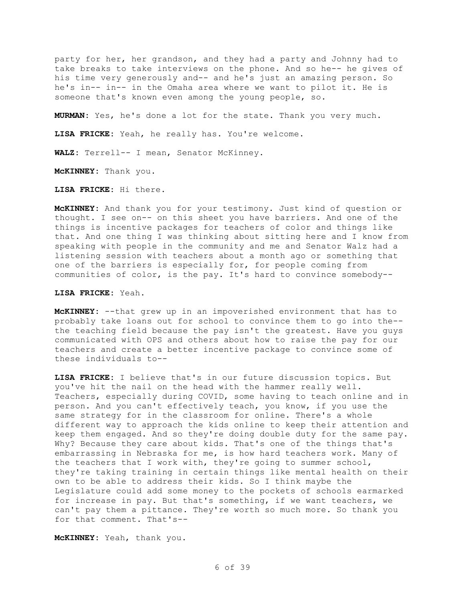party for her, her grandson, and they had a party and Johnny had to take breaks to take interviews on the phone. And so he-- he gives of his time very generously and-- and he's just an amazing person. So he's in-- in-- in the Omaha area where we want to pilot it. He is someone that's known even among the young people, so.

**MURMAN:** Yes, he's done a lot for the state. Thank you very much.

**LISA FRICKE:** Yeah, he really has. You're welcome.

**WALZ:** Terrell-- I mean, Senator McKinney.

**McKINNEY:** Thank you.

**LISA FRICKE:** Hi there.

**McKINNEY:** And thank you for your testimony. Just kind of question or thought. I see on-- on this sheet you have barriers. And one of the things is incentive packages for teachers of color and things like that. And one thing I was thinking about sitting here and I know from speaking with people in the community and me and Senator Walz had a listening session with teachers about a month ago or something that one of the barriers is especially for, for people coming from communities of color, is the pay. It's hard to convince somebody--

**LISA FRICKE:** Yeah.

**McKINNEY:** --that grew up in an impoverished environment that has to probably take loans out for school to convince them to go into the- the teaching field because the pay isn't the greatest. Have you guys communicated with OPS and others about how to raise the pay for our teachers and create a better incentive package to convince some of these individuals to--

**LISA FRICKE:** I believe that's in our future discussion topics. But you've hit the nail on the head with the hammer really well. Teachers, especially during COVID, some having to teach online and in person. And you can't effectively teach, you know, if you use the same strategy for in the classroom for online. There's a whole different way to approach the kids online to keep their attention and keep them engaged. And so they're doing double duty for the same pay. Why? Because they care about kids. That's one of the things that's embarrassing in Nebraska for me, is how hard teachers work. Many of the teachers that I work with, they're going to summer school, they're taking training in certain things like mental health on their own to be able to address their kids. So I think maybe the Legislature could add some money to the pockets of schools earmarked for increase in pay. But that's something, if we want teachers, we can't pay them a pittance. They're worth so much more. So thank you for that comment. That's--

**McKINNEY:** Yeah, thank you.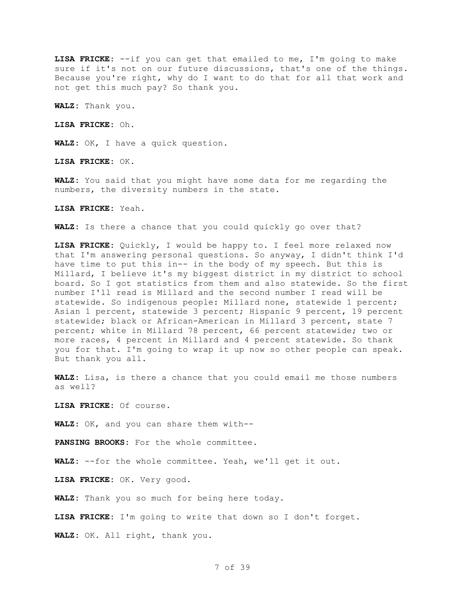**LISA FRICKE:** --if you can get that emailed to me, I'm going to make sure if it's not on our future discussions, that's one of the things. Because you're right, why do I want to do that for all that work and not get this much pay? So thank you.

**WALZ:** Thank you.

**LISA FRICKE:** Oh.

**WALZ:** OK, I have a quick question.

**LISA FRICKE:** OK.

**WALZ:** You said that you might have some data for me regarding the numbers, the diversity numbers in the state.

**LISA FRICKE:** Yeah.

**WALZ:** Is there a chance that you could quickly go over that?

**LISA FRICKE:** Quickly, I would be happy to. I feel more relaxed now that I'm answering personal questions. So anyway, I didn't think I'd have time to put this in-- in the body of my speech. But this is Millard, I believe it's my biggest district in my district to school board. So I got statistics from them and also statewide. So the first number I'll read is Millard and the second number I read will be statewide. So indigenous people: Millard none, statewide 1 percent; Asian 1 percent, statewide 3 percent; Hispanic 9 percent, 19 percent statewide; black or African-American in Millard 3 percent, state 7 percent; white in Millard 78 percent, 66 percent statewide; two or more races, 4 percent in Millard and 4 percent statewide. So thank you for that. I'm going to wrap it up now so other people can speak. But thank you all.

**WALZ:** Lisa, is there a chance that you could email me those numbers as well?

**LISA FRICKE:** Of course.

**WALZ:** OK, and you can share them with--

**PANSING BROOKS:** For the whole committee.

**WALZ:** --for the whole committee. Yeah, we'll get it out.

**LISA FRICKE:** OK. Very good.

**WALZ:** Thank you so much for being here today.

**LISA FRICKE:** I'm going to write that down so I don't forget.

**WALZ:** OK. All right, thank you.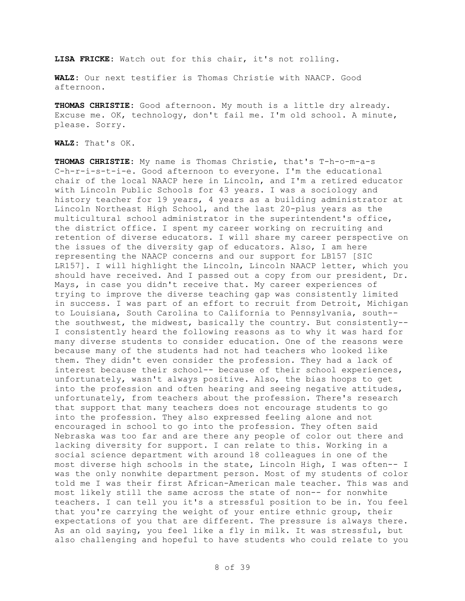**LISA FRICKE:** Watch out for this chair, it's not rolling.

**WALZ:** Our next testifier is Thomas Christie with NAACP. Good afternoon.

**THOMAS CHRISTIE:** Good afternoon. My mouth is a little dry already. Excuse me. OK, technology, don't fail me. I'm old school. A minute, please. Sorry.

**WALZ:** That's OK.

**THOMAS CHRISTIE:** My name is Thomas Christie, that's T-h-o-m-a-s C-h-r-i-s-t-i-e. Good afternoon to everyone. I'm the educational chair of the local NAACP here in Lincoln, and I'm a retired educator with Lincoln Public Schools for 43 years. I was a sociology and history teacher for 19 years, 4 years as a building administrator at Lincoln Northeast High School, and the last 20-plus years as the multicultural school administrator in the superintendent's office, the district office. I spent my career working on recruiting and retention of diverse educators. I will share my career perspective on the issues of the diversity gap of educators. Also, I am here representing the NAACP concerns and our support for LB157 [SIC LR157]. I will highlight the Lincoln, Lincoln NAACP letter, which you should have received. And I passed out a copy from our president, Dr. Mays, in case you didn't receive that. My career experiences of trying to improve the diverse teaching gap was consistently limited in success. I was part of an effort to recruit from Detroit, Michigan to Louisiana, South Carolina to California to Pennsylvania, south- the southwest, the midwest, basically the country. But consistently-- I consistently heard the following reasons as to why it was hard for many diverse students to consider education. One of the reasons were because many of the students had not had teachers who looked like them. They didn't even consider the profession. They had a lack of interest because their school-- because of their school experiences, unfortunately, wasn't always positive. Also, the bias hoops to get into the profession and often hearing and seeing negative attitudes, unfortunately, from teachers about the profession. There's research that support that many teachers does not encourage students to go into the profession. They also expressed feeling alone and not encouraged in school to go into the profession. They often said Nebraska was too far and are there any people of color out there and lacking diversity for support. I can relate to this. Working in a social science department with around 18 colleagues in one of the most diverse high schools in the state, Lincoln High, I was often-- I was the only nonwhite department person. Most of my students of color told me I was their first African-American male teacher. This was and most likely still the same across the state of non-- for nonwhite teachers. I can tell you it's a stressful position to be in. You feel that you're carrying the weight of your entire ethnic group, their expectations of you that are different. The pressure is always there. As an old saying, you feel like a fly in milk. It was stressful, but also challenging and hopeful to have students who could relate to you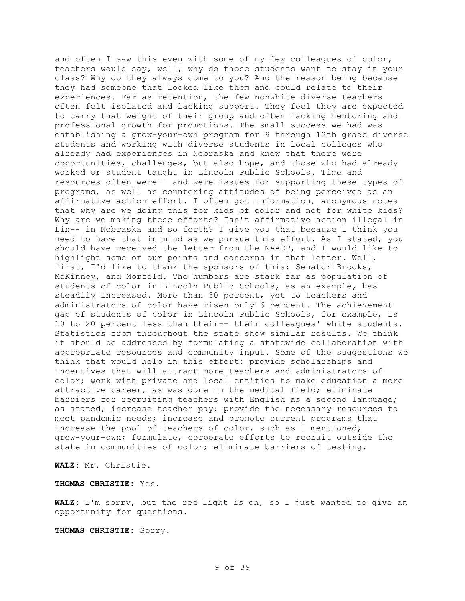and often I saw this even with some of my few colleagues of color, teachers would say, well, why do those students want to stay in your class? Why do they always come to you? And the reason being because they had someone that looked like them and could relate to their experiences. Far as retention, the few nonwhite diverse teachers often felt isolated and lacking support. They feel they are expected to carry that weight of their group and often lacking mentoring and professional growth for promotions. The small success we had was establishing a grow-your-own program for 9 through 12th grade diverse students and working with diverse students in local colleges who already had experiences in Nebraska and knew that there were opportunities, challenges, but also hope, and those who had already worked or student taught in Lincoln Public Schools. Time and resources often were-- and were issues for supporting these types of programs, as well as countering attitudes of being perceived as an affirmative action effort. I often got information, anonymous notes that why are we doing this for kids of color and not for white kids? Why are we making these efforts? Isn't affirmative action illegal in Lin-- in Nebraska and so forth? I give you that because I think you need to have that in mind as we pursue this effort. As I stated, you should have received the letter from the NAACP, and I would like to highlight some of our points and concerns in that letter. Well, first, I'd like to thank the sponsors of this: Senator Brooks, McKinney, and Morfeld. The numbers are stark far as population of students of color in Lincoln Public Schools, as an example, has steadily increased. More than 30 percent, yet to teachers and administrators of color have risen only 6 percent. The achievement gap of students of color in Lincoln Public Schools, for example, is 10 to 20 percent less than their-- their colleagues' white students. Statistics from throughout the state show similar results. We think it should be addressed by formulating a statewide collaboration with appropriate resources and community input. Some of the suggestions we think that would help in this effort: provide scholarships and incentives that will attract more teachers and administrators of color; work with private and local entities to make education a more attractive career, as was done in the medical field; eliminate barriers for recruiting teachers with English as a second language; as stated, increase teacher pay; provide the necessary resources to meet pandemic needs; increase and promote current programs that increase the pool of teachers of color, such as I mentioned, grow-your-own; formulate, corporate efforts to recruit outside the state in communities of color; eliminate barriers of testing.

**WALZ:** Mr. Christie.

## **THOMAS CHRISTIE:** Yes.

**WALZ:** I'm sorry, but the red light is on, so I just wanted to give an opportunity for questions.

**THOMAS CHRISTIE:** Sorry.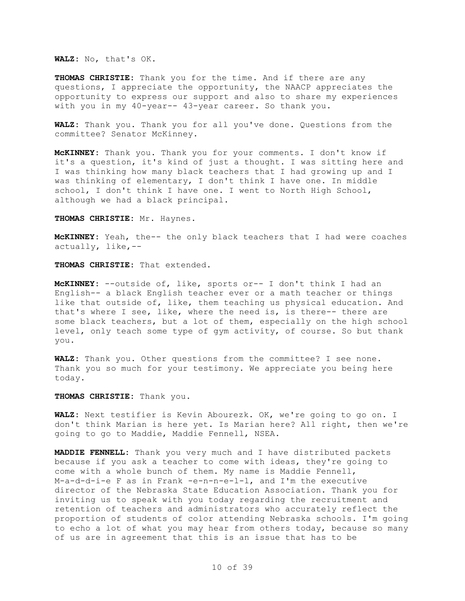**WALZ:** No, that's OK.

**THOMAS CHRISTIE:** Thank you for the time. And if there are any questions, I appreciate the opportunity, the NAACP appreciates the opportunity to express our support and also to share my experiences with you in my 40-year-- 43-year career. So thank you.

**WALZ:** Thank you. Thank you for all you've done. Questions from the committee? Senator McKinney.

**McKINNEY:** Thank you. Thank you for your comments. I don't know if it's a question, it's kind of just a thought. I was sitting here and I was thinking how many black teachers that I had growing up and I was thinking of elementary, I don't think I have one. In middle school, I don't think I have one. I went to North High School, although we had a black principal.

**THOMAS CHRISTIE:** Mr. Haynes.

**McKINNEY:** Yeah, the-- the only black teachers that I had were coaches actually, like,--

**THOMAS CHRISTIE:** That extended.

**McKINNEY:** --outside of, like, sports or-- I don't think I had an English-- a black English teacher ever or a math teacher or things like that outside of, like, them teaching us physical education. And that's where I see, like, where the need is, is there-- there are some black teachers, but a lot of them, especially on the high school level, only teach some type of gym activity, of course. So but thank you.

**WALZ:** Thank you. Other questions from the committee? I see none. Thank you so much for your testimony. We appreciate you being here today.

**THOMAS CHRISTIE:** Thank you.

**WALZ:** Next testifier is Kevin Abourezk. OK, we're going to go on. I don't think Marian is here yet. Is Marian here? All right, then we're going to go to Maddie, Maddie Fennell, NSEA.

**MADDIE FENNELL:** Thank you very much and I have distributed packets because if you ask a teacher to come with ideas, they're going to come with a whole bunch of them. My name is Maddie Fennell, M-a-d-d-i-e F as in Frank -e-n-n-e-l-l, and I'm the executive director of the Nebraska State Education Association. Thank you for inviting us to speak with you today regarding the recruitment and retention of teachers and administrators who accurately reflect the proportion of students of color attending Nebraska schools. I'm going to echo a lot of what you may hear from others today, because so many of us are in agreement that this is an issue that has to be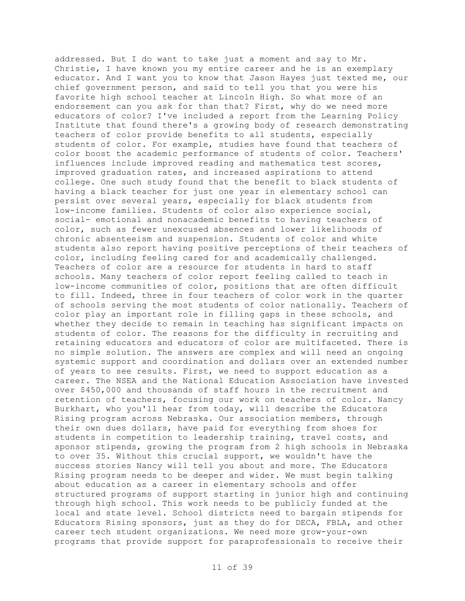addressed. But I do want to take just a moment and say to Mr. Christie, I have known you my entire career and he is an exemplary educator. And I want you to know that Jason Hayes just texted me, our chief government person, and said to tell you that you were his favorite high school teacher at Lincoln High. So what more of an endorsement can you ask for than that? First, why do we need more educators of color? I've included a report from the Learning Policy Institute that found there's a growing body of research demonstrating teachers of color provide benefits to all students, especially students of color. For example, studies have found that teachers of color boost the academic performance of students of color. Teachers' influences include improved reading and mathematics test scores, improved graduation rates, and increased aspirations to attend college. One such study found that the benefit to black students of having a black teacher for just one year in elementary school can persist over several years, especially for black students from low-income families. Students of color also experience social, social- emotional and nonacademic benefits to having teachers of color, such as fewer unexcused absences and lower likelihoods of chronic absenteeism and suspension. Students of color and white students also report having positive perceptions of their teachers of color, including feeling cared for and academically challenged. Teachers of color are a resource for students in hard to staff schools. Many teachers of color report feeling called to teach in low-income communities of color, positions that are often difficult to fill. Indeed, three in four teachers of color work in the quarter of schools serving the most students of color nationally. Teachers of color play an important role in filling gaps in these schools, and whether they decide to remain in teaching has significant impacts on students of color. The reasons for the difficulty in recruiting and retaining educators and educators of color are multifaceted. There is no simple solution. The answers are complex and will need an ongoing systemic support and coordination and dollars over an extended number of years to see results. First, we need to support education as a career. The NSEA and the National Education Association have invested over \$450,000 and thousands of staff hours in the recruitment and retention of teachers, focusing our work on teachers of color. Nancy Burkhart, who you'll hear from today, will describe the Educators Rising program across Nebraska. Our association members, through their own dues dollars, have paid for everything from shoes for students in competition to leadership training, travel costs, and sponsor stipends, growing the program from 2 high schools in Nebraska to over 35. Without this crucial support, we wouldn't have the success stories Nancy will tell you about and more. The Educators Rising program needs to be deeper and wider. We must begin talking about education as a career in elementary schools and offer structured programs of support starting in junior high and continuing through high school. This work needs to be publicly funded at the local and state level. School districts need to bargain stipends for Educators Rising sponsors, just as they do for DECA, FBLA, and other career tech student organizations. We need more grow-your-own programs that provide support for paraprofessionals to receive their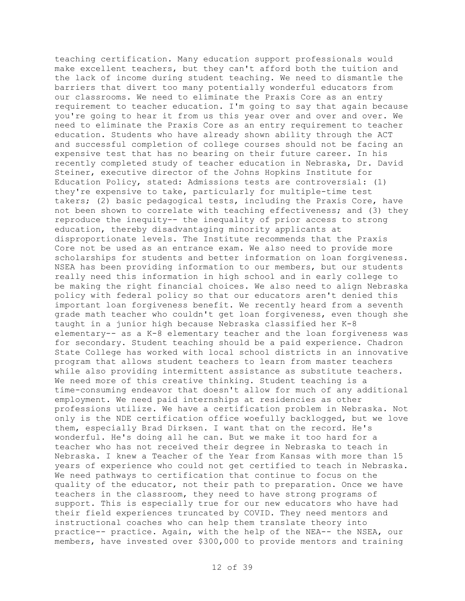teaching certification. Many education support professionals would make excellent teachers, but they can't afford both the tuition and the lack of income during student teaching. We need to dismantle the barriers that divert too many potentially wonderful educators from our classrooms. We need to eliminate the Praxis Core as an entry requirement to teacher education. I'm going to say that again because you're going to hear it from us this year over and over and over. We need to eliminate the Praxis Core as an entry requirement to teacher education. Students who have already shown ability through the ACT and successful completion of college courses should not be facing an expensive test that has no bearing on their future career. In his recently completed study of teacher education in Nebraska, Dr. David Steiner, executive director of the Johns Hopkins Institute for Education Policy, stated: Admissions tests are controversial: (1) they're expensive to take, particularly for multiple-time test takers; (2) basic pedagogical tests, including the Praxis Core, have not been shown to correlate with teaching effectiveness; and (3) they reproduce the inequity-- the inequality of prior access to strong education, thereby disadvantaging minority applicants at disproportionate levels. The Institute recommends that the Praxis Core not be used as an entrance exam. We also need to provide more scholarships for students and better information on loan forgiveness. NSEA has been providing information to our members, but our students really need this information in high school and in early college to be making the right financial choices. We also need to align Nebraska policy with federal policy so that our educators aren't denied this important loan forgiveness benefit. We recently heard from a seventh grade math teacher who couldn't get loan forgiveness, even though she taught in a junior high because Nebraska classified her K-8 elementary-- as a K-8 elementary teacher and the loan forgiveness was for secondary. Student teaching should be a paid experience. Chadron State College has worked with local school districts in an innovative program that allows student teachers to learn from master teachers while also providing intermittent assistance as substitute teachers. We need more of this creative thinking. Student teaching is a time-consuming endeavor that doesn't allow for much of any additional employment. We need paid internships at residencies as other professions utilize. We have a certification problem in Nebraska. Not only is the NDE certification office woefully backlogged, but we love them, especially Brad Dirksen. I want that on the record. He's wonderful. He's doing all he can. But we make it too hard for a teacher who has not received their degree in Nebraska to teach in Nebraska. I knew a Teacher of the Year from Kansas with more than 15 years of experience who could not get certified to teach in Nebraska. We need pathways to certification that continue to focus on the quality of the educator, not their path to preparation. Once we have teachers in the classroom, they need to have strong programs of support. This is especially true for our new educators who have had their field experiences truncated by COVID. They need mentors and instructional coaches who can help them translate theory into practice-- practice. Again, with the help of the NEA-- the NSEA, our members, have invested over \$300,000 to provide mentors and training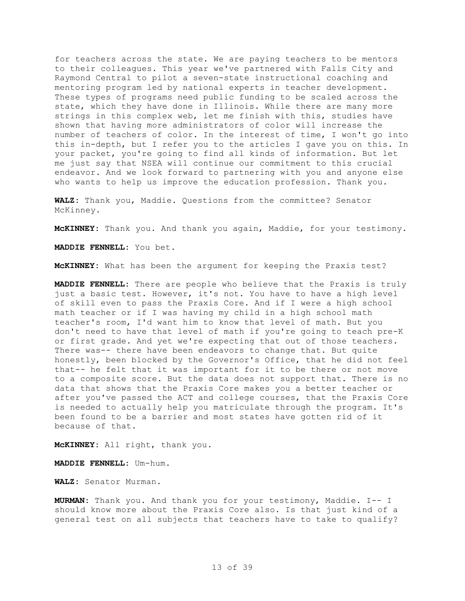for teachers across the state. We are paying teachers to be mentors to their colleagues. This year we've partnered with Falls City and Raymond Central to pilot a seven-state instructional coaching and mentoring program led by national experts in teacher development. These types of programs need public funding to be scaled across the state, which they have done in Illinois. While there are many more strings in this complex web, let me finish with this, studies have shown that having more administrators of color will increase the number of teachers of color. In the interest of time, I won't go into this in-depth, but I refer you to the articles I gave you on this. In your packet, you're going to find all kinds of information. But let me just say that NSEA will continue our commitment to this crucial endeavor. And we look forward to partnering with you and anyone else who wants to help us improve the education profession. Thank you.

**WALZ:** Thank you, Maddie. Questions from the committee? Senator McKinney.

**McKINNEY:** Thank you. And thank you again, Maddie, for your testimony.

**MADDIE FENNELL:** You bet.

**McKINNEY:** What has been the argument for keeping the Praxis test?

**MADDIE FENNELL:** There are people who believe that the Praxis is truly just a basic test. However, it's not. You have to have a high level of skill even to pass the Praxis Core. And if I were a high school math teacher or if I was having my child in a high school math teacher's room, I'd want him to know that level of math. But you don't need to have that level of math if you're going to teach pre-K or first grade. And yet we're expecting that out of those teachers. There was-- there have been endeavors to change that. But quite honestly, been blocked by the Governor's Office, that he did not feel that-- he felt that it was important for it to be there or not move to a composite score. But the data does not support that. There is no data that shows that the Praxis Core makes you a better teacher or after you've passed the ACT and college courses, that the Praxis Core is needed to actually help you matriculate through the program. It's been found to be a barrier and most states have gotten rid of it because of that.

**McKINNEY:** All right, thank you.

**MADDIE FENNELL:** Um-hum.

**WALZ:** Senator Murman.

**MURMAN:** Thank you. And thank you for your testimony, Maddie. I-- I should know more about the Praxis Core also. Is that just kind of a general test on all subjects that teachers have to take to qualify?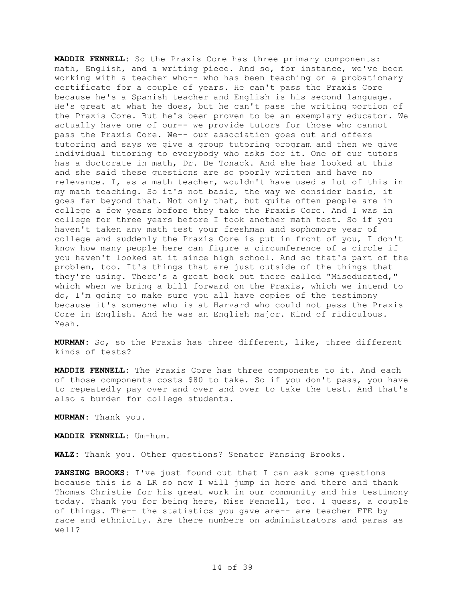**MADDIE FENNELL:** So the Praxis Core has three primary components: math, English, and a writing piece. And so, for instance, we've been working with a teacher who-- who has been teaching on a probationary certificate for a couple of years. He can't pass the Praxis Core because he's a Spanish teacher and English is his second language. He's great at what he does, but he can't pass the writing portion of the Praxis Core. But he's been proven to be an exemplary educator. We actually have one of our-- we provide tutors for those who cannot pass the Praxis Core. We-- our association goes out and offers tutoring and says we give a group tutoring program and then we give individual tutoring to everybody who asks for it. One of our tutors has a doctorate in math, Dr. De Tonack. And she has looked at this and she said these questions are so poorly written and have no relevance. I, as a math teacher, wouldn't have used a lot of this in my math teaching. So it's not basic, the way we consider basic, it goes far beyond that. Not only that, but quite often people are in college a few years before they take the Praxis Core. And I was in college for three years before I took another math test. So if you haven't taken any math test your freshman and sophomore year of college and suddenly the Praxis Core is put in front of you, I don't know how many people here can figure a circumference of a circle if you haven't looked at it since high school. And so that's part of the problem, too. It's things that are just outside of the things that they're using. There's a great book out there called "Miseducated," which when we bring a bill forward on the Praxis, which we intend to do, I'm going to make sure you all have copies of the testimony because it's someone who is at Harvard who could not pass the Praxis Core in English. And he was an English major. Kind of ridiculous. Yeah.

**MURMAN:** So, so the Praxis has three different, like, three different kinds of tests?

**MADDIE FENNELL:** The Praxis Core has three components to it. And each of those components costs \$80 to take. So if you don't pass, you have to repeatedly pay over and over and over to take the test. And that's also a burden for college students.

**MURMAN:** Thank you.

**MADDIE FENNELL:** Um-hum.

**WALZ:** Thank you. Other questions? Senator Pansing Brooks.

**PANSING BROOKS:** I've just found out that I can ask some questions because this is a LR so now I will jump in here and there and thank Thomas Christie for his great work in our community and his testimony today. Thank you for being here, Miss Fennell, too. I guess, a couple of things. The-- the statistics you gave are-- are teacher FTE by race and ethnicity. Are there numbers on administrators and paras as well?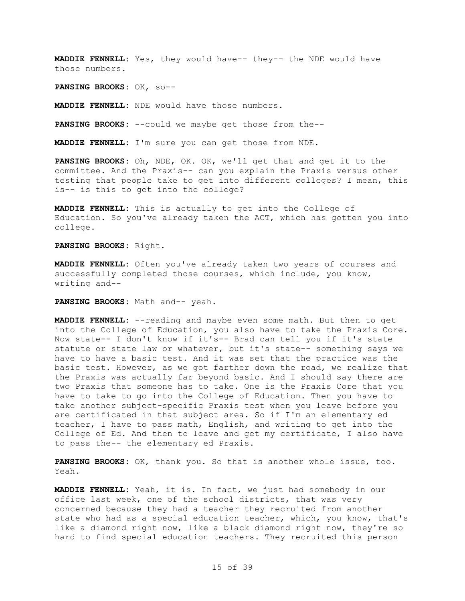**MADDIE FENNELL:** Yes, they would have-- they-- the NDE would have those numbers.

**PANSING BROOKS:** OK, so--

**MADDIE FENNELL:** NDE would have those numbers.

**PANSING BROOKS:** --could we maybe get those from the--

**MADDIE FENNELL:** I'm sure you can get those from NDE.

**PANSING BROOKS:** Oh, NDE, OK. OK, we'll get that and get it to the committee. And the Praxis-- can you explain the Praxis versus other testing that people take to get into different colleges? I mean, this is-- is this to get into the college?

**MADDIE FENNELL:** This is actually to get into the College of Education. So you've already taken the ACT, which has gotten you into college.

**PANSING BROOKS:** Right.

**MADDIE FENNELL:** Often you've already taken two years of courses and successfully completed those courses, which include, you know, writing and--

**PANSING BROOKS:** Math and-- yeah.

**MADDIE FENNELL:** --reading and maybe even some math. But then to get into the College of Education, you also have to take the Praxis Core. Now state-- I don't know if it's-- Brad can tell you if it's state statute or state law or whatever, but it's state-- something says we have to have a basic test. And it was set that the practice was the basic test. However, as we got farther down the road, we realize that the Praxis was actually far beyond basic. And I should say there are two Praxis that someone has to take. One is the Praxis Core that you have to take to go into the College of Education. Then you have to take another subject-specific Praxis test when you leave before you are certificated in that subject area. So if I'm an elementary ed teacher, I have to pass math, English, and writing to get into the College of Ed. And then to leave and get my certificate, I also have to pass the-- the elementary ed Praxis.

**PANSING BROOKS:** OK, thank you. So that is another whole issue, too. Yeah.

**MADDIE FENNELL:** Yeah, it is. In fact, we just had somebody in our office last week, one of the school districts, that was very concerned because they had a teacher they recruited from another state who had as a special education teacher, which, you know, that's like a diamond right now, like a black diamond right now, they're so hard to find special education teachers. They recruited this person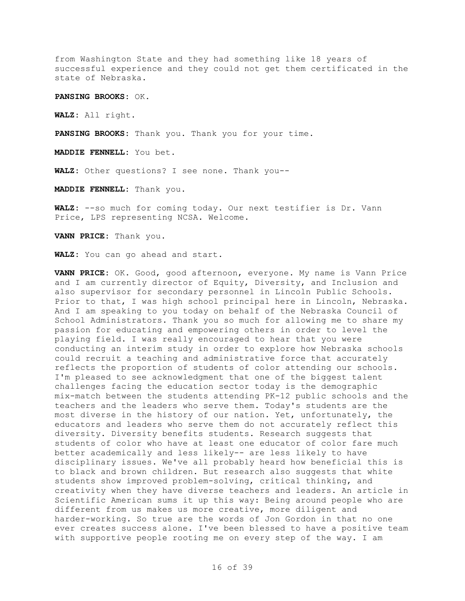from Washington State and they had something like 18 years of successful experience and they could not get them certificated in the state of Nebraska.

**PANSING BROOKS:** OK.

**WALZ:** All right.

**PANSING BROOKS:** Thank you. Thank you for your time.

**MADDIE FENNELL:** You bet.

**WALZ:** Other questions? I see none. Thank you--

**MADDIE FENNELL:** Thank you.

**WALZ:** --so much for coming today. Our next testifier is Dr. Vann Price, LPS representing NCSA. Welcome.

**VANN PRICE:** Thank you.

**WALZ:** You can go ahead and start.

**VANN PRICE:** OK. Good, good afternoon, everyone. My name is Vann Price and I am currently director of Equity, Diversity, and Inclusion and also supervisor for secondary personnel in Lincoln Public Schools. Prior to that, I was high school principal here in Lincoln, Nebraska. And I am speaking to you today on behalf of the Nebraska Council of School Administrators. Thank you so much for allowing me to share my passion for educating and empowering others in order to level the playing field. I was really encouraged to hear that you were conducting an interim study in order to explore how Nebraska schools could recruit a teaching and administrative force that accurately reflects the proportion of students of color attending our schools. I'm pleased to see acknowledgment that one of the biggest talent challenges facing the education sector today is the demographic mix-match between the students attending PK-12 public schools and the teachers and the leaders who serve them. Today's students are the most diverse in the history of our nation. Yet, unfortunately, the educators and leaders who serve them do not accurately reflect this diversity. Diversity benefits students. Research suggests that students of color who have at least one educator of color fare much better academically and less likely-- are less likely to have disciplinary issues. We've all probably heard how beneficial this is to black and brown children. But research also suggests that white students show improved problem-solving, critical thinking, and creativity when they have diverse teachers and leaders. An article in Scientific American sums it up this way: Being around people who are different from us makes us more creative, more diligent and harder-working. So true are the words of Jon Gordon in that no one ever creates success alone. I've been blessed to have a positive team with supportive people rooting me on every step of the way. I am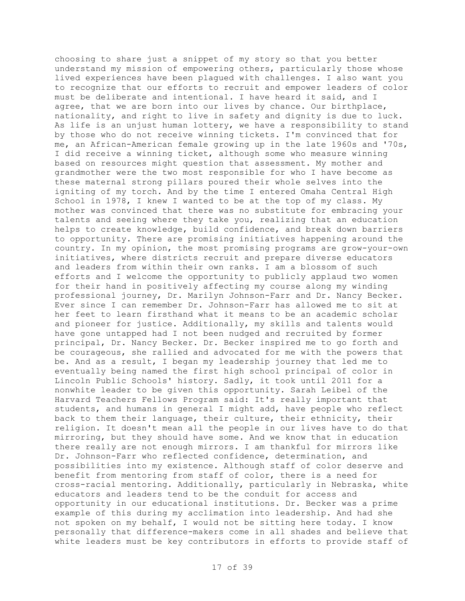choosing to share just a snippet of my story so that you better understand my mission of empowering others, particularly those whose lived experiences have been plagued with challenges. I also want you to recognize that our efforts to recruit and empower leaders of color must be deliberate and intentional. I have heard it said, and I agree, that we are born into our lives by chance. Our birthplace, nationality, and right to live in safety and dignity is due to luck. As life is an unjust human lottery, we have a responsibility to stand by those who do not receive winning tickets. I'm convinced that for me, an African-American female growing up in the late 1960s and '70s, I did receive a winning ticket, although some who measure winning based on resources might question that assessment. My mother and grandmother were the two most responsible for who I have become as these maternal strong pillars poured their whole selves into the igniting of my torch. And by the time I entered Omaha Central High School in 1978, I knew I wanted to be at the top of my class. My mother was convinced that there was no substitute for embracing your talents and seeing where they take you, realizing that an education helps to create knowledge, build confidence, and break down barriers to opportunity. There are promising initiatives happening around the country. In my opinion, the most promising programs are grow-your-own initiatives, where districts recruit and prepare diverse educators and leaders from within their own ranks. I am a blossom of such efforts and I welcome the opportunity to publicly applaud two women for their hand in positively affecting my course along my winding professional journey, Dr. Marilyn Johnson-Farr and Dr. Nancy Becker. Ever since I can remember Dr. Johnson-Farr has allowed me to sit at her feet to learn firsthand what it means to be an academic scholar and pioneer for justice. Additionally, my skills and talents would have gone untapped had I not been nudged and recruited by former principal, Dr. Nancy Becker. Dr. Becker inspired me to go forth and be courageous, she rallied and advocated for me with the powers that be. And as a result, I began my leadership journey that led me to eventually being named the first high school principal of color in Lincoln Public Schools' history. Sadly, it took until 2011 for a nonwhite leader to be given this opportunity. Sarah Leibel of the Harvard Teachers Fellows Program said: It's really important that students, and humans in general I might add, have people who reflect back to them their language, their culture, their ethnicity, their religion. It doesn't mean all the people in our lives have to do that mirroring, but they should have some. And we know that in education there really are not enough mirrors. I am thankful for mirrors like Dr. Johnson-Farr who reflected confidence, determination, and possibilities into my existence. Although staff of color deserve and benefit from mentoring from staff of color, there is a need for cross-racial mentoring. Additionally, particularly in Nebraska, white educators and leaders tend to be the conduit for access and opportunity in our educational institutions. Dr. Becker was a prime example of this during my acclimation into leadership. And had she not spoken on my behalf, I would not be sitting here today. I know personally that difference-makers come in all shades and believe that white leaders must be key contributors in efforts to provide staff of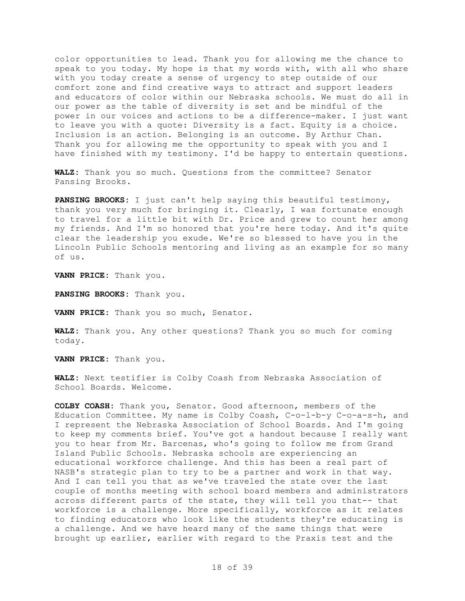color opportunities to lead. Thank you for allowing me the chance to speak to you today. My hope is that my words with, with all who share with you today create a sense of urgency to step outside of our comfort zone and find creative ways to attract and support leaders and educators of color within our Nebraska schools. We must do all in our power as the table of diversity is set and be mindful of the power in our voices and actions to be a difference-maker. I just want to leave you with a quote: Diversity is a fact. Equity is a choice. Inclusion is an action. Belonging is an outcome. By Arthur Chan. Thank you for allowing me the opportunity to speak with you and I have finished with my testimony. I'd be happy to entertain questions.

**WALZ:** Thank you so much. Questions from the committee? Senator Pansing Brooks.

**PANSING BROOKS:** I just can't help saying this beautiful testimony, thank you very much for bringing it. Clearly, I was fortunate enough to travel for a little bit with Dr. Price and grew to count her among my friends. And I'm so honored that you're here today. And it's quite clear the leadership you exude. We're so blessed to have you in the Lincoln Public Schools mentoring and living as an example for so many of us.

**VANN PRICE:** Thank you.

**PANSING BROOKS:** Thank you.

**VANN PRICE:** Thank you so much, Senator.

**WALZ:** Thank you. Any other questions? Thank you so much for coming today.

**VANN PRICE:** Thank you.

**WALZ:** Next testifier is Colby Coash from Nebraska Association of School Boards. Welcome.

**COLBY COASH:** Thank you, Senator. Good afternoon, members of the Education Committee. My name is Colby Coash, C-o-l-b-y C-o-a-s-h, and I represent the Nebraska Association of School Boards. And I'm going to keep my comments brief. You've got a handout because I really want you to hear from Mr. Barcenas, who's going to follow me from Grand Island Public Schools. Nebraska schools are experiencing an educational workforce challenge. And this has been a real part of NASB's strategic plan to try to be a partner and work in that way. And I can tell you that as we've traveled the state over the last couple of months meeting with school board members and administrators across different parts of the state, they will tell you that-- that workforce is a challenge. More specifically, workforce as it relates to finding educators who look like the students they're educating is a challenge. And we have heard many of the same things that were brought up earlier, earlier with regard to the Praxis test and the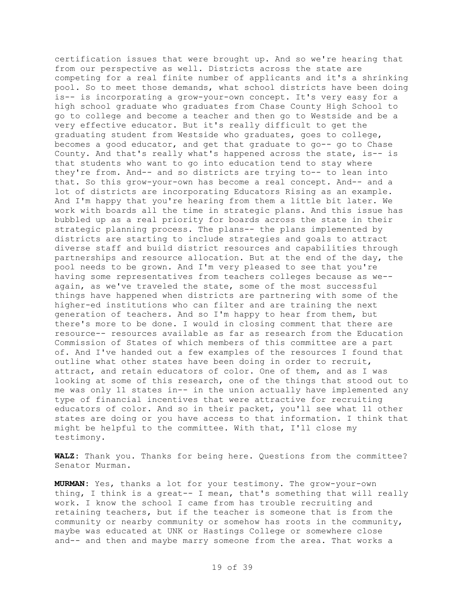certification issues that were brought up. And so we're hearing that from our perspective as well. Districts across the state are competing for a real finite number of applicants and it's a shrinking pool. So to meet those demands, what school districts have been doing is-- is incorporating a grow-your-own concept. It's very easy for a high school graduate who graduates from Chase County High School to go to college and become a teacher and then go to Westside and be a very effective educator. But it's really difficult to get the graduating student from Westside who graduates, goes to college, becomes a good educator, and get that graduate to go-- go to Chase County. And that's really what's happened across the state, is-- is that students who want to go into education tend to stay where they're from. And-- and so districts are trying to-- to lean into that. So this grow-your-own has become a real concept. And-- and a lot of districts are incorporating Educators Rising as an example. And I'm happy that you're hearing from them a little bit later. We work with boards all the time in strategic plans. And this issue has bubbled up as a real priority for boards across the state in their strategic planning process. The plans-- the plans implemented by districts are starting to include strategies and goals to attract diverse staff and build district resources and capabilities through partnerships and resource allocation. But at the end of the day, the pool needs to be grown. And I'm very pleased to see that you're having some representatives from teachers colleges because as we- again, as we've traveled the state, some of the most successful things have happened when districts are partnering with some of the higher-ed institutions who can filter and are training the next generation of teachers. And so I'm happy to hear from them, but there's more to be done. I would in closing comment that there are resource-- resources available as far as research from the Education Commission of States of which members of this committee are a part of. And I've handed out a few examples of the resources I found that outline what other states have been doing in order to recruit, attract, and retain educators of color. One of them, and as I was looking at some of this research, one of the things that stood out to me was only 11 states in-- in the union actually have implemented any type of financial incentives that were attractive for recruiting educators of color. And so in their packet, you'll see what 11 other states are doing or you have access to that information. I think that might be helpful to the committee. With that, I'll close my testimony.

**WALZ:** Thank you. Thanks for being here. Questions from the committee? Senator Murman.

**MURMAN:** Yes, thanks a lot for your testimony. The grow-your-own thing, I think is a great-- I mean, that's something that will really work. I know the school I came from has trouble recruiting and retaining teachers, but if the teacher is someone that is from the community or nearby community or somehow has roots in the community, maybe was educated at UNK or Hastings College or somewhere close and-- and then and maybe marry someone from the area. That works a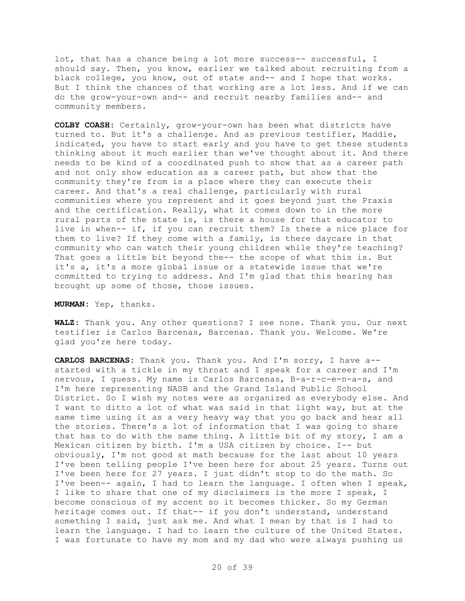lot, that has a chance being a lot more success-- successful, I should say. Then, you know, earlier we talked about recruiting from a black college, you know, out of state and-- and I hope that works. But I think the chances of that working are a lot less. And if we can do the grow-your-own and-- and recruit nearby families and-- and community members.

**COLBY COASH:** Certainly, grow-your-own has been what districts have turned to. But it's a challenge. And as previous testifier, Maddie, indicated, you have to start early and you have to get these students thinking about it much earlier than we've thought about it. And there needs to be kind of a coordinated push to show that as a career path and not only show education as a career path, but show that the community they're from is a place where they can execute their career. And that's a real challenge, particularly with rural communities where you represent and it goes beyond just the Praxis and the certification. Really, what it comes down to in the more rural parts of the state is, is there a house for that educator to live in when-- if, if you can recruit them? Is there a nice place for them to live? If they come with a family, is there daycare in that community who can watch their young children while they're teaching? That goes a little bit beyond the-- the scope of what this is. But it's a, it's a more global issue or a statewide issue that we're committed to trying to address. And I'm glad that this hearing has brought up some of those, those issues.

**MURMAN:** Yep, thanks.

**WALZ:** Thank you. Any other questions? I see none. Thank you. Our next testifier is Carlos Barcenas, Barcenas. Thank you. Welcome. We're glad you're here today.

**CARLOS BARCENAS:** Thank you. Thank you. And I'm sorry, I have a- started with a tickle in my throat and I speak for a career and I'm nervous, I guess. My name is Carlos Barcenas, B-a-r-c-e-n-a-s, and I'm here representing NASB and the Grand Island Public School District. So I wish my notes were as organized as everybody else. And I want to ditto a lot of what was said in that light way, but at the same time using it as a very heavy way that you go back and hear all the stories. There's a lot of information that I was going to share that has to do with the same thing. A little bit of my story, I am a Mexican citizen by birth. I'm a USA citizen by choice. I-- but obviously, I'm not good at math because for the last about 10 years I've been telling people I've been here for about 25 years. Turns out I've been here for 27 years. I just didn't stop to do the math. So I've been-- again, I had to learn the language. I often when I speak, I like to share that one of my disclaimers is the more I speak, I become conscious of my accent so it becomes thicker. So my German heritage comes out. If that-- if you don't understand, understand something I said, just ask me. And what I mean by that is I had to learn the language. I had to learn the culture of the United States. I was fortunate to have my mom and my dad who were always pushing us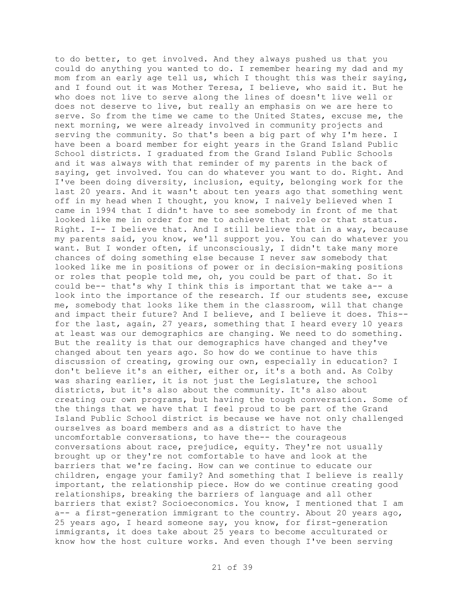to do better, to get involved. And they always pushed us that you could do anything you wanted to do. I remember hearing my dad and my mom from an early age tell us, which I thought this was their saying, and I found out it was Mother Teresa, I believe, who said it. But he who does not live to serve along the lines of doesn't live well or does not deserve to live, but really an emphasis on we are here to serve. So from the time we came to the United States, excuse me, the next morning, we were already involved in community projects and serving the community. So that's been a big part of why I'm here. I have been a board member for eight years in the Grand Island Public School districts. I graduated from the Grand Island Public Schools and it was always with that reminder of my parents in the back of saying, get involved. You can do whatever you want to do. Right. And I've been doing diversity, inclusion, equity, belonging work for the last 20 years. And it wasn't about ten years ago that something went off in my head when I thought, you know, I naively believed when I came in 1994 that I didn't have to see somebody in front of me that looked like me in order for me to achieve that role or that status. Right. I-- I believe that. And I still believe that in a way, because my parents said, you know, we'll support you. You can do whatever you want. But I wonder often, if unconsciously, I didn't take many more chances of doing something else because I never saw somebody that looked like me in positions of power or in decision-making positions or roles that people told me, oh, you could be part of that. So it could be-- that's why I think this is important that we take a-- a look into the importance of the research. If our students see, excuse me, somebody that looks like them in the classroom, will that change and impact their future? And I believe, and I believe it does. This- for the last, again, 27 years, something that I heard every 10 years at least was our demographics are changing. We need to do something. But the reality is that our demographics have changed and they've changed about ten years ago. So how do we continue to have this discussion of creating, growing our own, especially in education? I don't believe it's an either, either or, it's a both and. As Colby was sharing earlier, it is not just the Legislature, the school districts, but it's also about the community. It's also about creating our own programs, but having the tough conversation. Some of the things that we have that I feel proud to be part of the Grand Island Public School district is because we have not only challenged ourselves as board members and as a district to have the uncomfortable conversations, to have the-- the courageous conversations about race, prejudice, equity. They're not usually brought up or they're not comfortable to have and look at the barriers that we're facing. How can we continue to educate our children, engage your family? And something that I believe is really important, the relationship piece. How do we continue creating good relationships, breaking the barriers of language and all other barriers that exist? Socioeconomics. You know, I mentioned that I am a-- a first-generation immigrant to the country. About 20 years ago, 25 years ago, I heard someone say, you know, for first-generation immigrants, it does take about 25 years to become acculturated or know how the host culture works. And even though I've been serving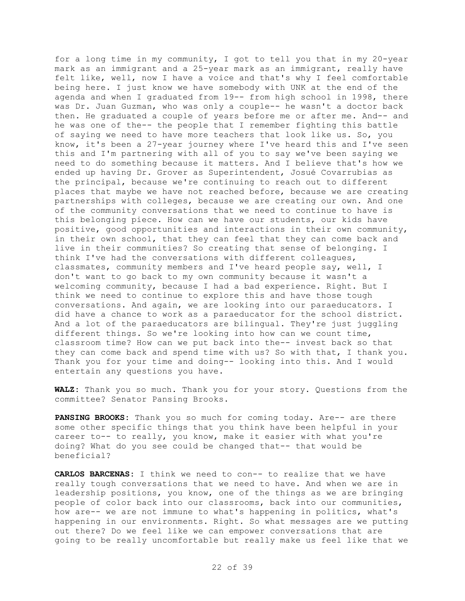for a long time in my community, I got to tell you that in my 20-year mark as an immigrant and a 25-year mark as an immigrant, really have felt like, well, now I have a voice and that's why I feel comfortable being here. I just know we have somebody with UNK at the end of the agenda and when I graduated from 19-- from high school in 1998, there was Dr. Juan Guzman, who was only a couple-- he wasn't a doctor back then. He graduated a couple of years before me or after me. And-- and he was one of the-- the people that I remember fighting this battle of saying we need to have more teachers that look like us. So, you know, it's been a 27-year journey where I've heard this and I've seen this and I'm partnering with all of you to say we've been saying we need to do something because it matters. And I believe that's how we ended up having Dr. Grover as Superintendent, Josué Covarrubias as the principal, because we're continuing to reach out to different places that maybe we have not reached before, because we are creating partnerships with colleges, because we are creating our own. And one of the community conversations that we need to continue to have is this belonging piece. How can we have our students, our kids have positive, good opportunities and interactions in their own community, in their own school, that they can feel that they can come back and live in their communities? So creating that sense of belonging. I think I've had the conversations with different colleagues, classmates, community members and I've heard people say, well, I don't want to go back to my own community because it wasn't a welcoming community, because I had a bad experience. Right. But I think we need to continue to explore this and have those tough conversations. And again, we are looking into our paraeducators. I did have a chance to work as a paraeducator for the school district. And a lot of the paraeducators are bilingual. They're just juggling different things. So we're looking into how can we count time, classroom time? How can we put back into the-- invest back so that they can come back and spend time with us? So with that, I thank you. Thank you for your time and doing-- looking into this. And I would entertain any questions you have.

**WALZ:** Thank you so much. Thank you for your story. Questions from the committee? Senator Pansing Brooks.

**PANSING BROOKS:** Thank you so much for coming today. Are-- are there some other specific things that you think have been helpful in your career to-- to really, you know, make it easier with what you're doing? What do you see could be changed that-- that would be beneficial?

**CARLOS BARCENAS:** I think we need to con-- to realize that we have really tough conversations that we need to have. And when we are in leadership positions, you know, one of the things as we are bringing people of color back into our classrooms, back into our communities, how are-- we are not immune to what's happening in politics, what's happening in our environments. Right. So what messages are we putting out there? Do we feel like we can empower conversations that are going to be really uncomfortable but really make us feel like that we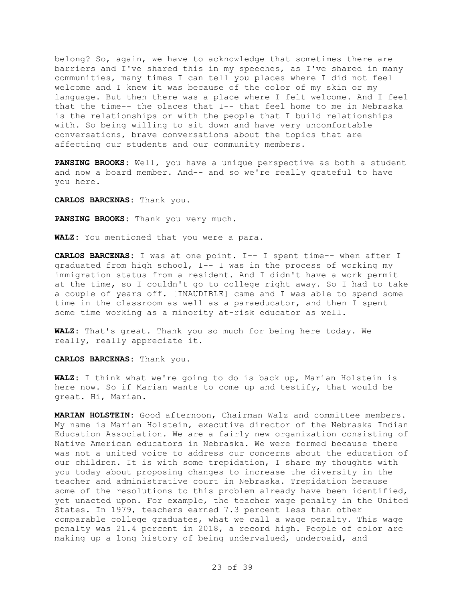belong? So, again, we have to acknowledge that sometimes there are barriers and I've shared this in my speeches, as I've shared in many communities, many times I can tell you places where I did not feel welcome and I knew it was because of the color of my skin or my language. But then there was a place where I felt welcome. And I feel that the time-- the places that I-- that feel home to me in Nebraska is the relationships or with the people that I build relationships with. So being willing to sit down and have very uncomfortable conversations, brave conversations about the topics that are affecting our students and our community members.

**PANSING BROOKS:** Well, you have a unique perspective as both a student and now a board member. And-- and so we're really grateful to have you here.

**CARLOS BARCENAS:** Thank you.

**PANSING BROOKS:** Thank you very much.

**WALZ:** You mentioned that you were a para.

**CARLOS BARCENAS:** I was at one point. I-- I spent time-- when after I graduated from high school, I-- I was in the process of working my immigration status from a resident. And I didn't have a work permit at the time, so I couldn't go to college right away. So I had to take a couple of years off. [INAUDIBLE] came and I was able to spend some time in the classroom as well as a paraeducator, and then I spent some time working as a minority at-risk educator as well.

**WALZ:** That's great. Thank you so much for being here today. We really, really appreciate it.

**CARLOS BARCENAS:** Thank you.

**WALZ:** I think what we're going to do is back up, Marian Holstein is here now. So if Marian wants to come up and testify, that would be great. Hi, Marian.

**MARIAN HOLSTEIN:** Good afternoon, Chairman Walz and committee members. My name is Marian Holstein, executive director of the Nebraska Indian Education Association. We are a fairly new organization consisting of Native American educators in Nebraska. We were formed because there was not a united voice to address our concerns about the education of our children. It is with some trepidation, I share my thoughts with you today about proposing changes to increase the diversity in the teacher and administrative court in Nebraska. Trepidation because some of the resolutions to this problem already have been identified, yet unacted upon. For example, the teacher wage penalty in the United States. In 1979, teachers earned 7.3 percent less than other comparable college graduates, what we call a wage penalty. This wage penalty was 21.4 percent in 2018, a record high. People of color are making up a long history of being undervalued, underpaid, and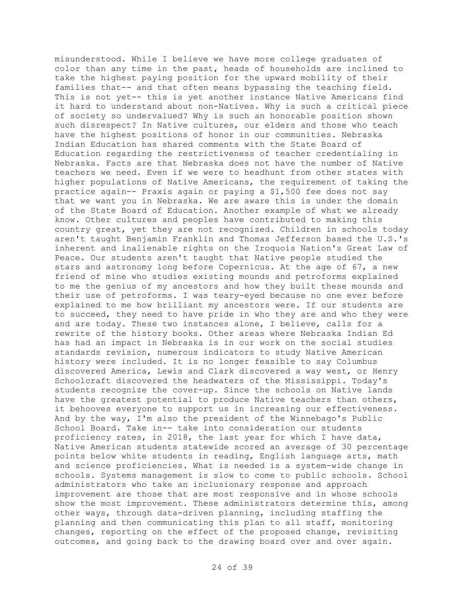misunderstood. While I believe we have more college graduates of color than any time in the past, heads of households are inclined to take the highest paying position for the upward mobility of their families that-- and that often means bypassing the teaching field. This is not yet-- this is yet another instance Native Americans find it hard to understand about non-Natives. Why is such a critical piece of society so undervalued? Why is such an honorable position shown such disrespect? In Native cultures, our elders and those who teach have the highest positions of honor in our communities. Nebraska Indian Education has shared comments with the State Board of Education regarding the restrictiveness of teacher credentialing in Nebraska. Facts are that Nebraska does not have the number of Native teachers we need. Even if we were to headhunt from other states with higher populations of Native Americans, the requirement of taking the practice again-- Praxis again or paying a \$1,500 fee does not say that we want you in Nebraska. We are aware this is under the domain of the State Board of Education. Another example of what we already know. Other cultures and peoples have contributed to making this country great, yet they are not recognized. Children in schools today aren't taught Benjamin Franklin and Thomas Jefferson based the U.S.'s inherent and inalienable rights on the Iroquois Nation's Great Law of Peace. Our students aren't taught that Native people studied the stars and astronomy long before Copernicus. At the age of 67, a new friend of mine who studies existing mounds and petroforms explained to me the genius of my ancestors and how they built these mounds and their use of petroforms. I was teary-eyed because no one ever before explained to me how brilliant my ancestors were. If our students are to succeed, they need to have pride in who they are and who they were and are today. These two instances alone, I believe, calls for a rewrite of the history books. Other areas where Nebraska Indian Ed has had an impact in Nebraska is in our work on the social studies standards revision, numerous indicators to study Native American history were included. It is no longer feasible to say Columbus discovered America, Lewis and Clark discovered a way west, or Henry Schoolcraft discovered the headwaters of the Mississippi. Today's students recognize the cover-up. Since the schools on Native lands have the greatest potential to produce Native teachers than others, it behooves everyone to support us in increasing our effectiveness. And by the way, I'm also the president of the Winnebago's Public School Board. Take in-- take into consideration our students proficiency rates, in 2018, the last year for which I have data, Native American students statewide scored an average of 30 percentage points below white students in reading, English language arts, math and science proficiencies. What is needed is a system-wide change in schools. Systems management is slow to come to public schools. School administrators who take an inclusionary response and approach improvement are those that are most responsive and in whose schools show the most improvement. These administrators determine this, among other ways, through data-driven planning, including staffing the planning and then communicating this plan to all staff, monitoring changes, reporting on the effect of the proposed change, revisiting outcomes, and going back to the drawing board over and over again.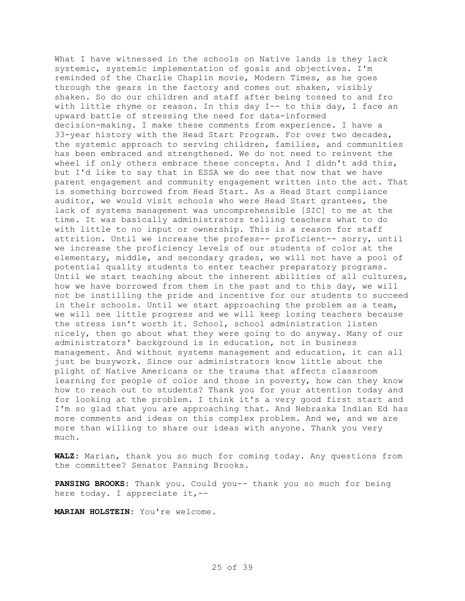What I have witnessed in the schools on Native lands is they lack systemic, systemic implementation of goals and objectives. I'm reminded of the Charlie Chaplin movie, Modern Times, as he goes through the gears in the factory and comes out shaken, visibly shaken. So do our children and staff after being tossed to and fro with little rhyme or reason. In this day I-- to this day, I face an upward battle of stressing the need for data-informed decision-making. I make these comments from experience. I have a 33-year history with the Head Start Program. For over two decades, the systemic approach to serving children, families, and communities has been embraced and strengthened. We do not need to reinvent the wheel if only others embrace these concepts. And I didn't add this, but I'd like to say that in ESSA we do see that now that we have parent engagement and community engagement written into the act. That is something borrowed from Head Start. As a Head Start compliance auditor, we would visit schools who were Head Start grantees, the lack of systems management was uncomprehensible [SIC] to me at the time. It was basically administrators telling teachers what to do with little to no input or ownership. This is a reason for staff attrition. Until we increase the profess-- proficient-- sorry, until we increase the proficiency levels of our students of color at the elementary, middle, and secondary grades, we will not have a pool of potential quality students to enter teacher preparatory programs. Until we start teaching about the inherent abilities of all cultures, how we have borrowed from them in the past and to this day, we will not be instilling the pride and incentive for our students to succeed in their schools. Until we start approaching the problem as a team, we will see little progress and we will keep losing teachers because the stress isn't worth it. School, school administration listen nicely, then go about what they were going to do anyway. Many of our administrators' background is in education, not in business management. And without systems management and education, it can all just be busywork. Since our administrators know little about the plight of Native Americans or the trauma that affects classroom learning for people of color and those in poverty, how can they know how to reach out to students? Thank you for your attention today and for looking at the problem. I think it's a very good first start and I'm so glad that you are approaching that. And Nebraska Indian Ed has more comments and ideas on this complex problem. And we, and we are more than willing to share our ideas with anyone. Thank you very much.

**WALZ:** Marian, thank you so much for coming today. Any questions from the committee? Senator Pansing Brooks.

**PANSING BROOKS:** Thank you. Could you-- thank you so much for being here today. I appreciate it,--

**MARIAN HOLSTEIN:** You're welcome.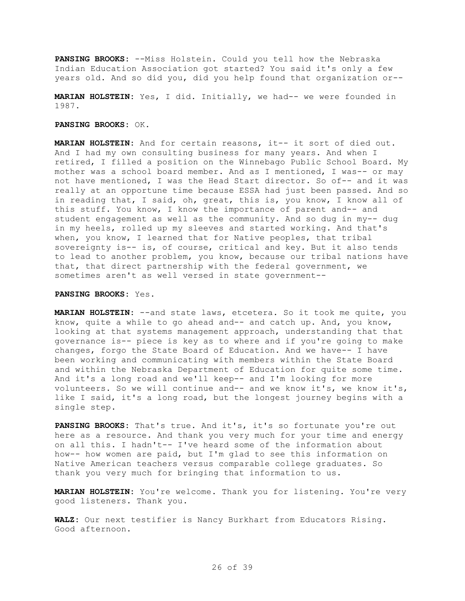**PANSING BROOKS:** --Miss Holstein. Could you tell how the Nebraska Indian Education Association got started? You said it's only a few years old. And so did you, did you help found that organization or--

**MARIAN HOLSTEIN:** Yes, I did. Initially, we had-- we were founded in 1987.

## **PANSING BROOKS:** OK.

**MARIAN HOLSTEIN:** And for certain reasons, it-- it sort of died out. And I had my own consulting business for many years. And when I retired, I filled a position on the Winnebago Public School Board. My mother was a school board member. And as I mentioned, I was-- or may not have mentioned, I was the Head Start director. So of-- and it was really at an opportune time because ESSA had just been passed. And so in reading that, I said, oh, great, this is, you know, I know all of this stuff. You know, I know the importance of parent and-- and student engagement as well as the community. And so dug in my-- dug in my heels, rolled up my sleeves and started working. And that's when, you know, I learned that for Native peoples, that tribal sovereignty is-- is, of course, critical and key. But it also tends to lead to another problem, you know, because our tribal nations have that, that direct partnership with the federal government, we sometimes aren't as well versed in state government--

## **PANSING BROOKS:** Yes.

**MARIAN HOLSTEIN:** --and state laws, etcetera. So it took me quite, you know, quite a while to go ahead and-- and catch up. And, you know, looking at that systems management approach, understanding that that governance is-- piece is key as to where and if you're going to make changes, forgo the State Board of Education. And we have-- I have been working and communicating with members within the State Board and within the Nebraska Department of Education for quite some time. And it's a long road and we'll keep-- and I'm looking for more volunteers. So we will continue and-- and we know it's, we know it's, like I said, it's a long road, but the longest journey begins with a single step.

**PANSING BROOKS:** That's true. And it's, it's so fortunate you're out here as a resource. And thank you very much for your time and energy on all this. I hadn't-- I've heard some of the information about how-- how women are paid, but I'm glad to see this information on Native American teachers versus comparable college graduates. So thank you very much for bringing that information to us.

**MARIAN HOLSTEIN:** You're welcome. Thank you for listening. You're very good listeners. Thank you.

**WALZ:** Our next testifier is Nancy Burkhart from Educators Rising. Good afternoon.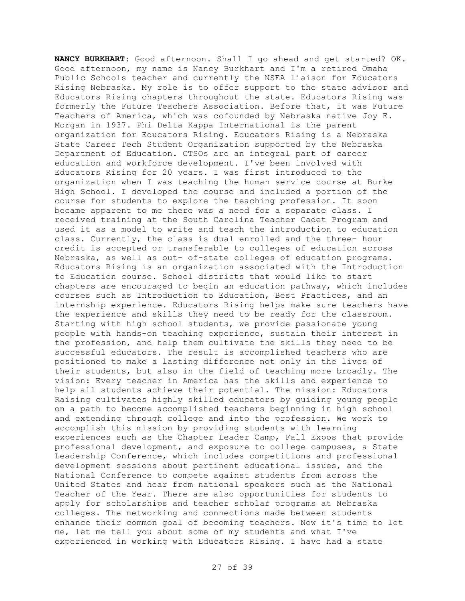**NANCY BURKHART:** Good afternoon. Shall I go ahead and get started? OK. Good afternoon, my name is Nancy Burkhart and I'm a retired Omaha Public Schools teacher and currently the NSEA liaison for Educators Rising Nebraska. My role is to offer support to the state advisor and Educators Rising chapters throughout the state. Educators Rising was formerly the Future Teachers Association. Before that, it was Future Teachers of America, which was cofounded by Nebraska native Joy E. Morgan in 1937. Phi Delta Kappa International is the parent organization for Educators Rising. Educators Rising is a Nebraska State Career Tech Student Organization supported by the Nebraska Department of Education. CTSOs are an integral part of career education and workforce development. I've been involved with Educators Rising for 20 years. I was first introduced to the organization when I was teaching the human service course at Burke High School. I developed the course and included a portion of the course for students to explore the teaching profession. It soon became apparent to me there was a need for a separate class. I received training at the South Carolina Teacher Cadet Program and used it as a model to write and teach the introduction to education class. Currently, the class is dual enrolled and the three- hour credit is accepted or transferable to colleges of education across Nebraska, as well as out- of-state colleges of education programs. Educators Rising is an organization associated with the Introduction to Education course. School districts that would like to start chapters are encouraged to begin an education pathway, which includes courses such as Introduction to Education, Best Practices, and an internship experience. Educators Rising helps make sure teachers have the experience and skills they need to be ready for the classroom. Starting with high school students, we provide passionate young people with hands-on teaching experience, sustain their interest in the profession, and help them cultivate the skills they need to be successful educators. The result is accomplished teachers who are positioned to make a lasting difference not only in the lives of their students, but also in the field of teaching more broadly. The vision: Every teacher in America has the skills and experience to help all students achieve their potential. The mission: Educators Raising cultivates highly skilled educators by guiding young people on a path to become accomplished teachers beginning in high school and extending through college and into the profession. We work to accomplish this mission by providing students with learning experiences such as the Chapter Leader Camp, Fall Expos that provide professional development, and exposure to college campuses, a State Leadership Conference, which includes competitions and professional development sessions about pertinent educational issues, and the National Conference to compete against students from across the United States and hear from national speakers such as the National Teacher of the Year. There are also opportunities for students to apply for scholarships and teacher scholar programs at Nebraska colleges. The networking and connections made between students enhance their common goal of becoming teachers. Now it's time to let me, let me tell you about some of my students and what I've experienced in working with Educators Rising. I have had a state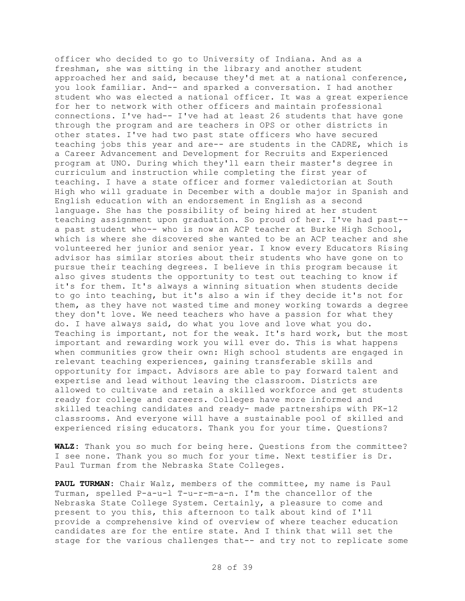officer who decided to go to University of Indiana. And as a freshman, she was sitting in the library and another student approached her and said, because they'd met at a national conference, you look familiar. And-- and sparked a conversation. I had another student who was elected a national officer. It was a great experience for her to network with other officers and maintain professional connections. I've had-- I've had at least 26 students that have gone through the program and are teachers in OPS or other districts in other states. I've had two past state officers who have secured teaching jobs this year and are-- are students in the CADRE, which is a Career Advancement and Development for Recruits and Experienced program at UNO. During which they'll earn their master's degree in curriculum and instruction while completing the first year of teaching. I have a state officer and former valedictorian at South High who will graduate in December with a double major in Spanish and English education with an endorsement in English as a second language. She has the possibility of being hired at her student teaching assignment upon graduation. So proud of her. I've had past- a past student who-- who is now an ACP teacher at Burke High School, which is where she discovered she wanted to be an ACP teacher and she volunteered her junior and senior year. I know every Educators Rising advisor has similar stories about their students who have gone on to pursue their teaching degrees. I believe in this program because it also gives students the opportunity to test out teaching to know if it's for them. It's always a winning situation when students decide to go into teaching, but it's also a win if they decide it's not for them, as they have not wasted time and money working towards a degree they don't love. We need teachers who have a passion for what they do. I have always said, do what you love and love what you do. Teaching is important, not for the weak. It's hard work, but the most important and rewarding work you will ever do. This is what happens when communities grow their own: High school students are engaged in relevant teaching experiences, gaining transferable skills and opportunity for impact. Advisors are able to pay forward talent and expertise and lead without leaving the classroom. Districts are allowed to cultivate and retain a skilled workforce and get students ready for college and careers. Colleges have more informed and skilled teaching candidates and ready- made partnerships with PK-12 classrooms. And everyone will have a sustainable pool of skilled and experienced rising educators. Thank you for your time. Questions?

**WALZ:** Thank you so much for being here. Questions from the committee? I see none. Thank you so much for your time. Next testifier is Dr. Paul Turman from the Nebraska State Colleges.

**PAUL TURMAN:** Chair Walz, members of the committee, my name is Paul Turman, spelled P-a-u-l T-u-r-m-a-n. I'm the chancellor of the Nebraska State College System. Certainly, a pleasure to come and present to you this, this afternoon to talk about kind of I'll provide a comprehensive kind of overview of where teacher education candidates are for the entire state. And I think that will set the stage for the various challenges that-- and try not to replicate some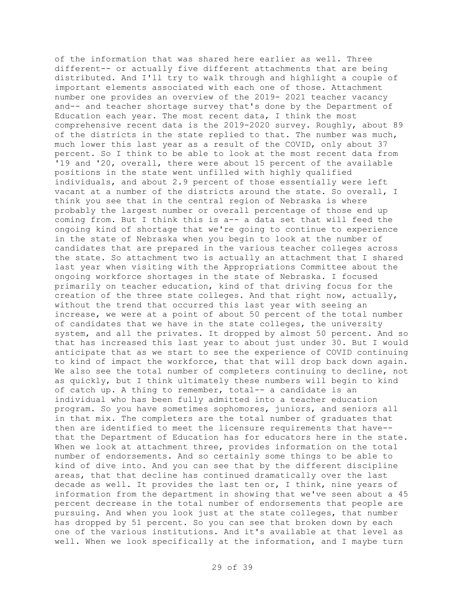of the information that was shared here earlier as well. Three different-- or actually five different attachments that are being distributed. And I'll try to walk through and highlight a couple of important elements associated with each one of those. Attachment number one provides an overview of the 2019- 2021 teacher vacancy and-- and teacher shortage survey that's done by the Department of Education each year. The most recent data, I think the most comprehensive recent data is the 2019-2020 survey. Roughly, about 89 of the districts in the state replied to that. The number was much, much lower this last year as a result of the COVID, only about 37 percent. So I think to be able to look at the most recent data from '19 and '20, overall, there were about 15 percent of the available positions in the state went unfilled with highly qualified individuals, and about 2.9 percent of those essentially were left vacant at a number of the districts around the state. So overall, I think you see that in the central region of Nebraska is where probably the largest number or overall percentage of those end up coming from. But I think this is a-- a data set that will feed the ongoing kind of shortage that we're going to continue to experience in the state of Nebraska when you begin to look at the number of candidates that are prepared in the various teacher colleges across the state. So attachment two is actually an attachment that I shared last year when visiting with the Appropriations Committee about the ongoing workforce shortages in the state of Nebraska. I focused primarily on teacher education, kind of that driving focus for the creation of the three state colleges. And that right now, actually, without the trend that occurred this last year with seeing an increase, we were at a point of about 50 percent of the total number of candidates that we have in the state colleges, the university system, and all the privates. It dropped by almost 50 percent. And so that has increased this last year to about just under 30. But I would anticipate that as we start to see the experience of COVID continuing to kind of impact the workforce, that that will drop back down again. We also see the total number of completers continuing to decline, not as quickly, but I think ultimately these numbers will begin to kind of catch up. A thing to remember, total-- a candidate is an individual who has been fully admitted into a teacher education program. So you have sometimes sophomores, juniors, and seniors all in that mix. The completers are the total number of graduates that then are identified to meet the licensure requirements that have- that the Department of Education has for educators here in the state. When we look at attachment three, provides information on the total number of endorsements. And so certainly some things to be able to kind of dive into. And you can see that by the different discipline areas, that that decline has continued dramatically over the last decade as well. It provides the last ten or, I think, nine years of information from the department in showing that we've seen about a 45 percent decrease in the total number of endorsements that people are pursuing. And when you look just at the state colleges, that number has dropped by 51 percent. So you can see that broken down by each one of the various institutions. And it's available at that level as well. When we look specifically at the information, and I maybe turn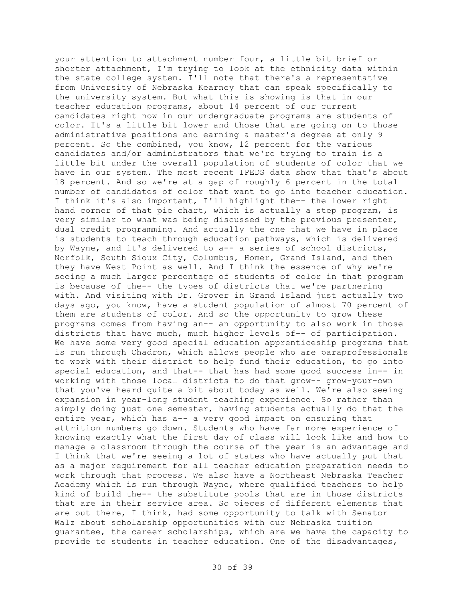your attention to attachment number four, a little bit brief or shorter attachment, I'm trying to look at the ethnicity data within the state college system. I'll note that there's a representative from University of Nebraska Kearney that can speak specifically to the university system. But what this is showing is that in our teacher education programs, about 14 percent of our current candidates right now in our undergraduate programs are students of color. It's a little bit lower and those that are going on to those administrative positions and earning a master's degree at only 9 percent. So the combined, you know, 12 percent for the various candidates and/or administrators that we're trying to train is a little bit under the overall population of students of color that we have in our system. The most recent IPEDS data show that that's about 18 percent. And so we're at a gap of roughly 6 percent in the total number of candidates of color that want to go into teacher education. I think it's also important, I'll highlight the-- the lower right hand corner of that pie chart, which is actually a step program, is very similar to what was being discussed by the previous presenter, dual credit programming. And actually the one that we have in place is students to teach through education pathways, which is delivered by Wayne, and it's delivered to a-- a series of school districts, Norfolk, South Sioux City, Columbus, Homer, Grand Island, and then they have West Point as well. And I think the essence of why we're seeing a much larger percentage of students of color in that program is because of the-- the types of districts that we're partnering with. And visiting with Dr. Grover in Grand Island just actually two days ago, you know, have a student population of almost 70 percent of them are students of color. And so the opportunity to grow these programs comes from having an-- an opportunity to also work in those districts that have much, much higher levels of-- of participation. We have some very good special education apprenticeship programs that is run through Chadron, which allows people who are paraprofessionals to work with their district to help fund their education, to go into special education, and that-- that has had some good success in-- in working with those local districts to do that grow-- grow-your-own that you've heard quite a bit about today as well. We're also seeing expansion in year-long student teaching experience. So rather than simply doing just one semester, having students actually do that the entire year, which has a-- a very good impact on ensuring that attrition numbers go down. Students who have far more experience of knowing exactly what the first day of class will look like and how to manage a classroom through the course of the year is an advantage and I think that we're seeing a lot of states who have actually put that as a major requirement for all teacher education preparation needs to work through that process. We also have a Northeast Nebraska Teacher Academy which is run through Wayne, where qualified teachers to help kind of build the-- the substitute pools that are in those districts that are in their service area. So pieces of different elements that are out there, I think, had some opportunity to talk with Senator Walz about scholarship opportunities with our Nebraska tuition guarantee, the career scholarships, which are we have the capacity to provide to students in teacher education. One of the disadvantages,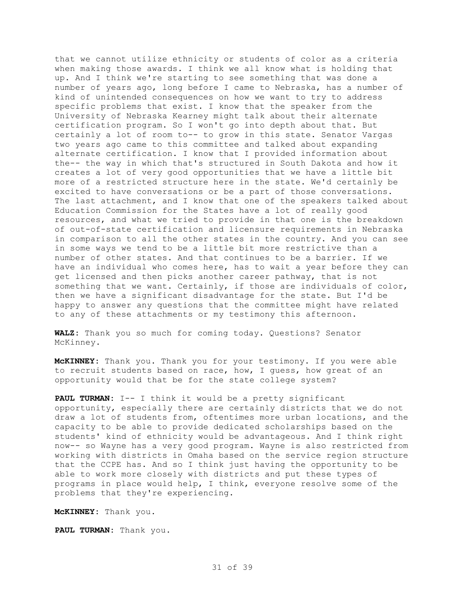that we cannot utilize ethnicity or students of color as a criteria when making those awards. I think we all know what is holding that up. And I think we're starting to see something that was done a number of years ago, long before I came to Nebraska, has a number of kind of unintended consequences on how we want to try to address specific problems that exist. I know that the speaker from the University of Nebraska Kearney might talk about their alternate certification program. So I won't go into depth about that. But certainly a lot of room to-- to grow in this state. Senator Vargas two years ago came to this committee and talked about expanding alternate certification. I know that I provided information about the-- the way in which that's structured in South Dakota and how it creates a lot of very good opportunities that we have a little bit more of a restricted structure here in the state. We'd certainly be excited to have conversations or be a part of those conversations. The last attachment, and I know that one of the speakers talked about Education Commission for the States have a lot of really good resources, and what we tried to provide in that one is the breakdown of out-of-state certification and licensure requirements in Nebraska in comparison to all the other states in the country. And you can see in some ways we tend to be a little bit more restrictive than a number of other states. And that continues to be a barrier. If we have an individual who comes here, has to wait a year before they can get licensed and then picks another career pathway, that is not something that we want. Certainly, if those are individuals of color, then we have a significant disadvantage for the state. But I'd be happy to answer any questions that the committee might have related to any of these attachments or my testimony this afternoon.

**WALZ:** Thank you so much for coming today. Questions? Senator McKinney.

**McKINNEY:** Thank you. Thank you for your testimony. If you were able to recruit students based on race, how, I guess, how great of an opportunity would that be for the state college system?

**PAUL TURMAN:** I-- I think it would be a pretty significant opportunity, especially there are certainly districts that we do not draw a lot of students from, oftentimes more urban locations, and the capacity to be able to provide dedicated scholarships based on the students' kind of ethnicity would be advantageous. And I think right now-- so Wayne has a very good program. Wayne is also restricted from working with districts in Omaha based on the service region structure that the CCPE has. And so I think just having the opportunity to be able to work more closely with districts and put these types of programs in place would help, I think, everyone resolve some of the problems that they're experiencing.

**McKINNEY:** Thank you.

**PAUL TURMAN:** Thank you.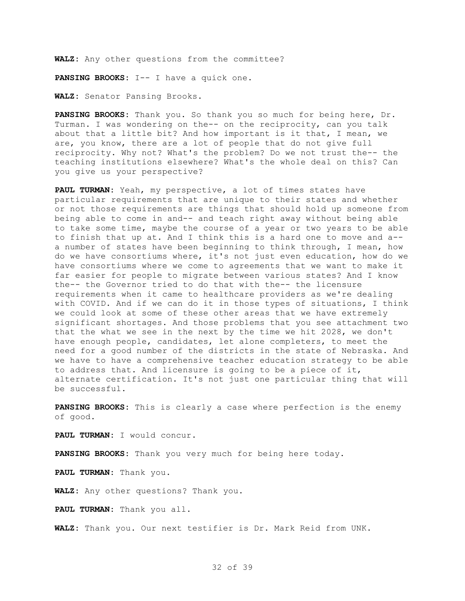**WALZ:** Any other questions from the committee?

**PANSING BROOKS:** I-- I have a quick one.

**WALZ:** Senator Pansing Brooks.

**PANSING BROOKS:** Thank you. So thank you so much for being here, Dr. Turman. I was wondering on the-- on the reciprocity, can you talk about that a little bit? And how important is it that, I mean, we are, you know, there are a lot of people that do not give full reciprocity. Why not? What's the problem? Do we not trust the-- the teaching institutions elsewhere? What's the whole deal on this? Can you give us your perspective?

**PAUL TURMAN:** Yeah, my perspective, a lot of times states have particular requirements that are unique to their states and whether or not those requirements are things that should hold up someone from being able to come in and-- and teach right away without being able to take some time, maybe the course of a year or two years to be able to finish that up at. And I think this is a hard one to move and a- a number of states have been beginning to think through, I mean, how do we have consortiums where, it's not just even education, how do we have consortiums where we come to agreements that we want to make it far easier for people to migrate between various states? And I know the-- the Governor tried to do that with the-- the licensure requirements when it came to healthcare providers as we're dealing with COVID. And if we can do it in those types of situations, I think we could look at some of these other areas that we have extremely significant shortages. And those problems that you see attachment two that the what we see in the next by the time we hit 2028, we don't have enough people, candidates, let alone completers, to meet the need for a good number of the districts in the state of Nebraska. And we have to have a comprehensive teacher education strategy to be able to address that. And licensure is going to be a piece of it, alternate certification. It's not just one particular thing that will be successful.

**PANSING BROOKS:** This is clearly a case where perfection is the enemy of good.

**PAUL TURMAN:** I would concur.

**PANSING BROOKS:** Thank you very much for being here today.

**PAUL TURMAN:** Thank you.

**WALZ:** Any other questions? Thank you.

**PAUL TURMAN:** Thank you all.

**WALZ:** Thank you. Our next testifier is Dr. Mark Reid from UNK.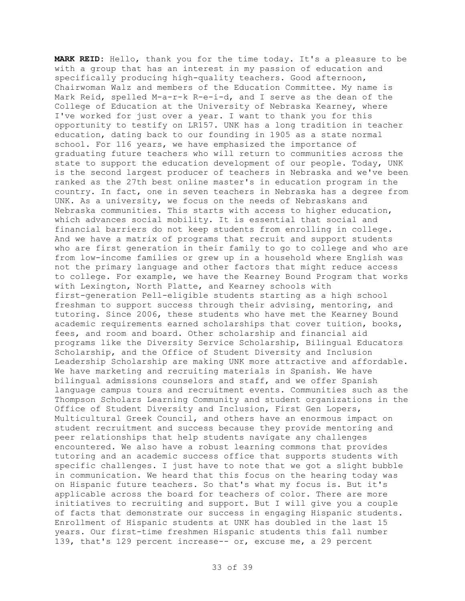**MARK REID:** Hello, thank you for the time today. It's a pleasure to be with a group that has an interest in my passion of education and specifically producing high-quality teachers. Good afternoon, Chairwoman Walz and members of the Education Committee. My name is Mark Reid, spelled M-a-r-k R-e-i-d, and I serve as the dean of the College of Education at the University of Nebraska Kearney, where I've worked for just over a year. I want to thank you for this opportunity to testify on LR157. UNK has a long tradition in teacher education, dating back to our founding in 1905 as a state normal school. For 116 years, we have emphasized the importance of graduating future teachers who will return to communities across the state to support the education development of our people. Today, UNK is the second largest producer of teachers in Nebraska and we've been ranked as the 27th best online master's in education program in the country. In fact, one in seven teachers in Nebraska has a degree from UNK. As a university, we focus on the needs of Nebraskans and Nebraska communities. This starts with access to higher education, which advances social mobility. It is essential that social and financial barriers do not keep students from enrolling in college. And we have a matrix of programs that recruit and support students who are first generation in their family to go to college and who are from low-income families or grew up in a household where English was not the primary language and other factors that might reduce access to college. For example, we have the Kearney Bound Program that works with Lexington, North Platte, and Kearney schools with first-generation Pell-eligible students starting as a high school freshman to support success through their advising, mentoring, and tutoring. Since 2006, these students who have met the Kearney Bound academic requirements earned scholarships that cover tuition, books, fees, and room and board. Other scholarship and financial aid programs like the Diversity Service Scholarship, Bilingual Educators Scholarship, and the Office of Student Diversity and Inclusion Leadership Scholarship are making UNK more attractive and affordable. We have marketing and recruiting materials in Spanish. We have bilingual admissions counselors and staff, and we offer Spanish language campus tours and recruitment events. Communities such as the Thompson Scholars Learning Community and student organizations in the Office of Student Diversity and Inclusion, First Gen Lopers, Multicultural Greek Council, and others have an enormous impact on student recruitment and success because they provide mentoring and peer relationships that help students navigate any challenges encountered. We also have a robust learning commons that provides tutoring and an academic success office that supports students with specific challenges. I just have to note that we got a slight bubble in communication. We heard that this focus on the hearing today was on Hispanic future teachers. So that's what my focus is. But it's applicable across the board for teachers of color. There are more initiatives to recruiting and support. But I will give you a couple of facts that demonstrate our success in engaging Hispanic students. Enrollment of Hispanic students at UNK has doubled in the last 15 years. Our first-time freshmen Hispanic students this fall number 139, that's 129 percent increase-- or, excuse me, a 29 percent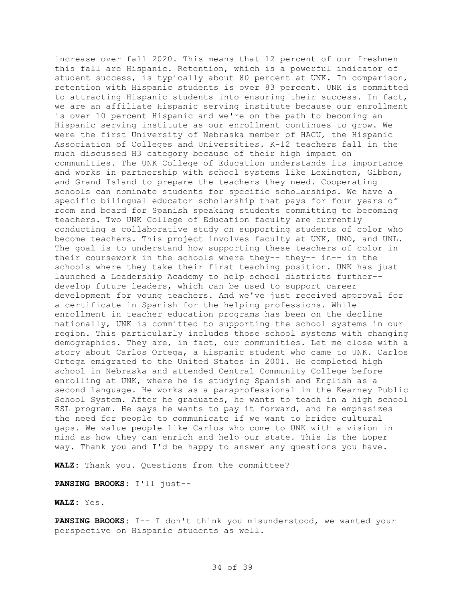increase over fall 2020. This means that 12 percent of our freshmen this fall are Hispanic. Retention, which is a powerful indicator of student success, is typically about 80 percent at UNK. In comparison, retention with Hispanic students is over 83 percent. UNK is committed to attracting Hispanic students into ensuring their success. In fact, we are an affiliate Hispanic serving institute because our enrollment is over 10 percent Hispanic and we're on the path to becoming an Hispanic serving institute as our enrollment continues to grow. We were the first University of Nebraska member of HACU, the Hispanic Association of Colleges and Universities. K-12 teachers fall in the much discussed H3 category because of their high impact on communities. The UNK College of Education understands its importance and works in partnership with school systems like Lexington, Gibbon, and Grand Island to prepare the teachers they need. Cooperating schools can nominate students for specific scholarships. We have a specific bilingual educator scholarship that pays for four years of room and board for Spanish speaking students committing to becoming teachers. Two UNK College of Education faculty are currently conducting a collaborative study on supporting students of color who become teachers. This project involves faculty at UNK, UNO, and UNL. The goal is to understand how supporting these teachers of color in their coursework in the schools where they-- they-- in-- in the schools where they take their first teaching position. UNK has just launched a Leadership Academy to help school districts further- develop future leaders, which can be used to support career development for young teachers. And we've just received approval for a certificate in Spanish for the helping professions. While enrollment in teacher education programs has been on the decline nationally, UNK is committed to supporting the school systems in our region. This particularly includes those school systems with changing demographics. They are, in fact, our communities. Let me close with a story about Carlos Ortega, a Hispanic student who came to UNK. Carlos Ortega emigrated to the United States in 2001. He completed high school in Nebraska and attended Central Community College before enrolling at UNK, where he is studying Spanish and English as a second language. He works as a paraprofessional in the Kearney Public School System. After he graduates, he wants to teach in a high school ESL program. He says he wants to pay it forward, and he emphasizes the need for people to communicate if we want to bridge cultural gaps. We value people like Carlos who come to UNK with a vision in mind as how they can enrich and help our state. This is the Loper way. Thank you and I'd be happy to answer any questions you have.

**WALZ:** Thank you. Questions from the committee?

**PANSING BROOKS:** I'll just--

**WALZ:** Yes.

**PANSING BROOKS:** I-- I don't think you misunderstood, we wanted your perspective on Hispanic students as well.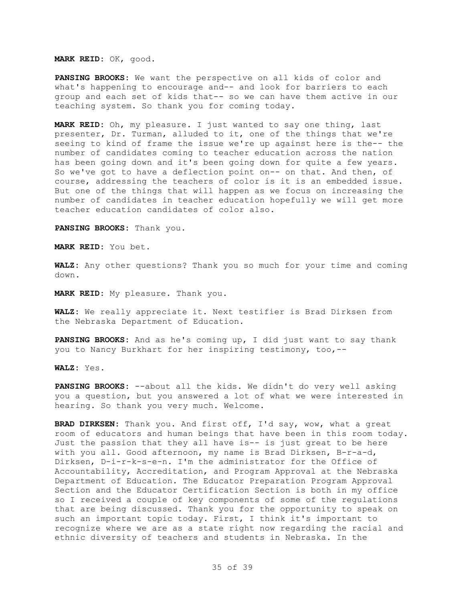## **MARK REID:** OK, good.

**PANSING BROOKS:** We want the perspective on all kids of color and what's happening to encourage and-- and look for barriers to each group and each set of kids that-- so we can have them active in our teaching system. So thank you for coming today.

**MARK REID:** Oh, my pleasure. I just wanted to say one thing, last presenter, Dr. Turman, alluded to it, one of the things that we're seeing to kind of frame the issue we're up against here is the-- the number of candidates coming to teacher education across the nation has been going down and it's been going down for quite a few years. So we've got to have a deflection point on-- on that. And then, of course, addressing the teachers of color is it is an embedded issue. But one of the things that will happen as we focus on increasing the number of candidates in teacher education hopefully we will get more teacher education candidates of color also.

**PANSING BROOKS:** Thank you.

**MARK REID:** You bet.

**WALZ:** Any other questions? Thank you so much for your time and coming down.

**MARK REID:** My pleasure. Thank you.

**WALZ:** We really appreciate it. Next testifier is Brad Dirksen from the Nebraska Department of Education.

**PANSING BROOKS:** And as he's coming up, I did just want to say thank you to Nancy Burkhart for her inspiring testimony, too,--

**WALZ:** Yes.

**PANSING BROOKS:** --about all the kids. We didn't do very well asking you a question, but you answered a lot of what we were interested in hearing. So thank you very much. Welcome.

**BRAD DIRKSEN:** Thank you. And first off, I'd say, wow, what a great room of educators and human beings that have been in this room today. Just the passion that they all have is-- is just great to be here with you all. Good afternoon, my name is Brad Dirksen, B-r-a-d, Dirksen, D-i-r-k-s-e-n. I'm the administrator for the Office of Accountability, Accreditation, and Program Approval at the Nebraska Department of Education. The Educator Preparation Program Approval Section and the Educator Certification Section is both in my office so I received a couple of key components of some of the regulations that are being discussed. Thank you for the opportunity to speak on such an important topic today. First, I think it's important to recognize where we are as a state right now regarding the racial and ethnic diversity of teachers and students in Nebraska. In the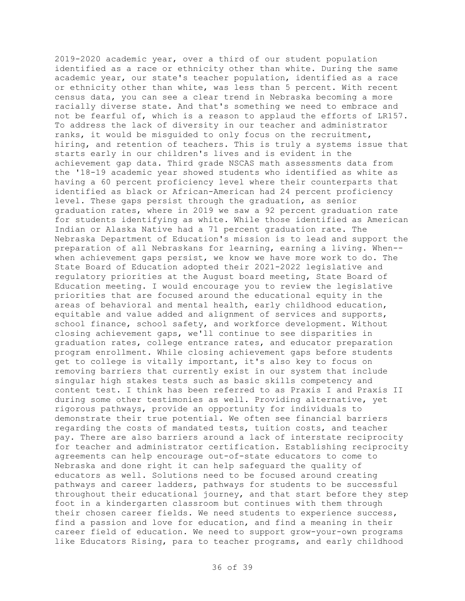2019-2020 academic year, over a third of our student population identified as a race or ethnicity other than white. During the same academic year, our state's teacher population, identified as a race or ethnicity other than white, was less than 5 percent. With recent census data, you can see a clear trend in Nebraska becoming a more racially diverse state. And that's something we need to embrace and not be fearful of, which is a reason to applaud the efforts of LR157. To address the lack of diversity in our teacher and administrator ranks, it would be misguided to only focus on the recruitment, hiring, and retention of teachers. This is truly a systems issue that starts early in our children's lives and is evident in the achievement gap data. Third grade NSCAS math assessments data from the '18-19 academic year showed students who identified as white as having a 60 percent proficiency level where their counterparts that identified as black or African-American had 24 percent proficiency level. These gaps persist through the graduation, as senior graduation rates, where in 2019 we saw a 92 percent graduation rate for students identifying as white. While those identified as American Indian or Alaska Native had a 71 percent graduation rate. The Nebraska Department of Education's mission is to lead and support the preparation of all Nebraskans for learning, earning a living. When- when achievement gaps persist, we know we have more work to do. The State Board of Education adopted their 2021-2022 legislative and regulatory priorities at the August board meeting, State Board of Education meeting. I would encourage you to review the legislative priorities that are focused around the educational equity in the areas of behavioral and mental health, early childhood education, equitable and value added and alignment of services and supports, school finance, school safety, and workforce development. Without closing achievement gaps, we'll continue to see disparities in graduation rates, college entrance rates, and educator preparation program enrollment. While closing achievement gaps before students get to college is vitally important, it's also key to focus on removing barriers that currently exist in our system that include singular high stakes tests such as basic skills competency and content test. I think has been referred to as Praxis I and Praxis II during some other testimonies as well. Providing alternative, yet rigorous pathways, provide an opportunity for individuals to demonstrate their true potential. We often see financial barriers regarding the costs of mandated tests, tuition costs, and teacher pay. There are also barriers around a lack of interstate reciprocity for teacher and administrator certification. Establishing reciprocity agreements can help encourage out-of-state educators to come to Nebraska and done right it can help safeguard the quality of educators as well. Solutions need to be focused around creating pathways and career ladders, pathways for students to be successful throughout their educational journey, and that start before they step foot in a kindergarten classroom but continues with them through their chosen career fields. We need students to experience success, find a passion and love for education, and find a meaning in their career field of education. We need to support grow-your-own programs like Educators Rising, para to teacher programs, and early childhood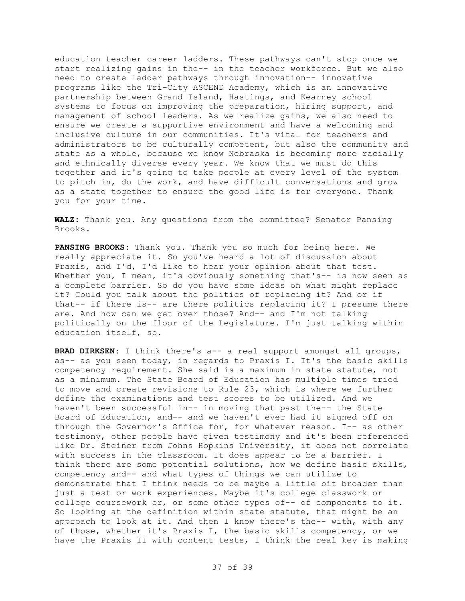education teacher career ladders. These pathways can't stop once we start realizing gains in the-- in the teacher workforce. But we also need to create ladder pathways through innovation-- innovative programs like the Tri-City ASCEND Academy, which is an innovative partnership between Grand Island, Hastings, and Kearney school systems to focus on improving the preparation, hiring support, and management of school leaders. As we realize gains, we also need to ensure we create a supportive environment and have a welcoming and inclusive culture in our communities. It's vital for teachers and administrators to be culturally competent, but also the community and state as a whole, because we know Nebraska is becoming more racially and ethnically diverse every year. We know that we must do this together and it's going to take people at every level of the system to pitch in, do the work, and have difficult conversations and grow as a state together to ensure the good life is for everyone. Thank you for your time.

**WALZ:** Thank you. Any questions from the committee? Senator Pansing Brooks.

**PANSING BROOKS:** Thank you. Thank you so much for being here. We really appreciate it. So you've heard a lot of discussion about Praxis, and I'd, I'd like to hear your opinion about that test. Whether you, I mean, it's obviously something that's-- is now seen as a complete barrier. So do you have some ideas on what might replace it? Could you talk about the politics of replacing it? And or if that-- if there is-- are there politics replacing it? I presume there are. And how can we get over those? And-- and I'm not talking politically on the floor of the Legislature. I'm just talking within education itself, so.

**BRAD DIRKSEN:** I think there's a-- a real support amongst all groups, as-- as you seen today, in regards to Praxis I. It's the basic skills competency requirement. She said is a maximum in state statute, not as a minimum. The State Board of Education has multiple times tried to move and create revisions to Rule 23, which is where we further define the examinations and test scores to be utilized. And we haven't been successful in-- in moving that past the-- the State Board of Education, and-- and we haven't ever had it signed off on through the Governor's Office for, for whatever reason. I-- as other testimony, other people have given testimony and it's been referenced like Dr. Steiner from Johns Hopkins University, it does not correlate with success in the classroom. It does appear to be a barrier. I think there are some potential solutions, how we define basic skills, competency and-- and what types of things we can utilize to demonstrate that I think needs to be maybe a little bit broader than just a test or work experiences. Maybe it's college classwork or college coursework or, or some other types of-- of components to it. So looking at the definition within state statute, that might be an approach to look at it. And then I know there's the-- with, with any of those, whether it's Praxis I, the basic skills competency, or we have the Praxis II with content tests, I think the real key is making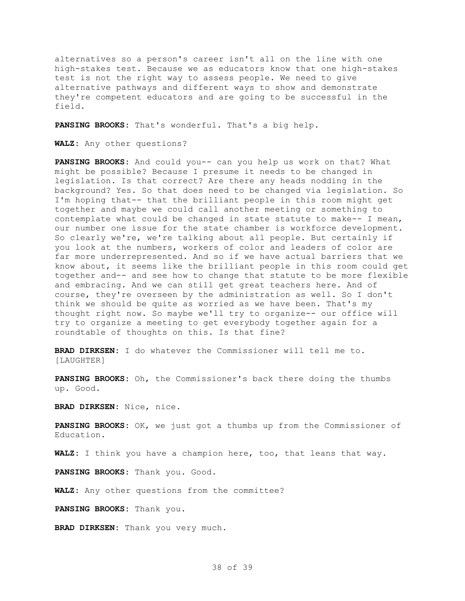alternatives so a person's career isn't all on the line with one high-stakes test. Because we as educators know that one high-stakes test is not the right way to assess people. We need to give alternative pathways and different ways to show and demonstrate they're competent educators and are going to be successful in the field.

**PANSING BROOKS:** That's wonderful. That's a big help.

**WALZ:** Any other questions?

**PANSING BROOKS:** And could you-- can you help us work on that? What might be possible? Because I presume it needs to be changed in legislation. Is that correct? Are there any heads nodding in the background? Yes. So that does need to be changed via legislation. So I'm hoping that-- that the brilliant people in this room might get together and maybe we could call another meeting or something to contemplate what could be changed in state statute to make-- I mean, our number one issue for the state chamber is workforce development. So clearly we're, we're talking about all people. But certainly if you look at the numbers, workers of color and leaders of color are far more underrepresented. And so if we have actual barriers that we know about, it seems like the brilliant people in this room could get together and-- and see how to change that statute to be more flexible and embracing. And we can still get great teachers here. And of course, they're overseen by the administration as well. So I don't think we should be quite as worried as we have been. That's my thought right now. So maybe we'll try to organize-- our office will try to organize a meeting to get everybody together again for a roundtable of thoughts on this. Is that fine?

**BRAD DIRKSEN:** I do whatever the Commissioner will tell me to. [LAUGHTER]

**PANSING BROOKS:** Oh, the Commissioner's back there doing the thumbs up. Good.

**BRAD DIRKSEN:** Nice, nice.

**PANSING BROOKS:** OK, we just got a thumbs up from the Commissioner of Education.

**WALZ:** I think you have a champion here, too, that leans that way.

**PANSING BROOKS:** Thank you. Good.

**WALZ:** Any other questions from the committee?

**PANSING BROOKS:** Thank you.

**BRAD DIRKSEN:** Thank you very much.